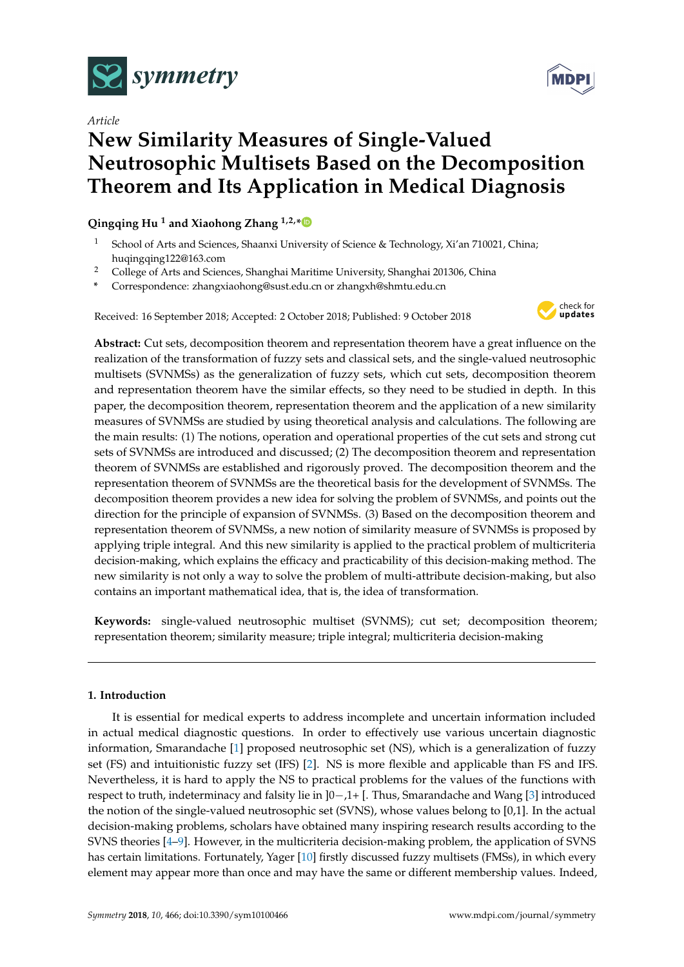

*Article*

# **New Similarity Measures of Single-Valued Neutrosophic Multisets Based on the Decomposition Theorem and Its Application in Medical Diagnosis**

**Qingqing Hu <sup>1</sup> and Xiaohong Zhang 1,2,[\\*](https://orcid.org/0000-0003-2320-0884)**

- <sup>1</sup> School of Arts and Sciences, Shaanxi University of Science & Technology, Xi'an 710021, China; huqingqing122@163.com
- <sup>2</sup> College of Arts and Sciences, Shanghai Maritime University, Shanghai 201306, China
- **\*** Correspondence: zhangxiaohong@sust.edu.cn or zhangxh@shmtu.edu.cn

Received: 16 September 2018; Accepted: 2 October 2018; Published: 9 October 2018



**Abstract:** Cut sets, decomposition theorem and representation theorem have a great influence on the realization of the transformation of fuzzy sets and classical sets, and the single-valued neutrosophic multisets (SVNMSs) as the generalization of fuzzy sets, which cut sets, decomposition theorem and representation theorem have the similar effects, so they need to be studied in depth. In this paper, the decomposition theorem, representation theorem and the application of a new similarity measures of SVNMSs are studied by using theoretical analysis and calculations. The following are the main results: (1) The notions, operation and operational properties of the cut sets and strong cut sets of SVNMSs are introduced and discussed; (2) The decomposition theorem and representation theorem of SVNMSs are established and rigorously proved. The decomposition theorem and the representation theorem of SVNMSs are the theoretical basis for the development of SVNMSs. The decomposition theorem provides a new idea for solving the problem of SVNMSs, and points out the direction for the principle of expansion of SVNMSs. (3) Based on the decomposition theorem and representation theorem of SVNMSs, a new notion of similarity measure of SVNMSs is proposed by applying triple integral. And this new similarity is applied to the practical problem of multicriteria decision-making, which explains the efficacy and practicability of this decision-making method. The new similarity is not only a way to solve the problem of multi-attribute decision-making, but also contains an important mathematical idea, that is, the idea of transformation.

**Keywords:** single-valued neutrosophic multiset (SVNMS); cut set; decomposition theorem; representation theorem; similarity measure; triple integral; multicriteria decision-making

## **1. Introduction**

It is essential for medical experts to address incomplete and uncertain information included in actual medical diagnostic questions. In order to effectively use various uncertain diagnostic information, Smarandache [\[1\]](#page-16-0) proposed neutrosophic set (NS), which is a generalization of fuzzy set (FS) and intuitionistic fuzzy set (IFS) [\[2\]](#page-16-1). NS is more flexible and applicable than FS and IFS. Nevertheless, it is hard to apply the NS to practical problems for the values of the functions with respect to truth, indeterminacy and falsity lie in ]0−,1+ [. Thus, Smarandache and Wang [\[3\]](#page-16-2) introduced the notion of the single-valued neutrosophic set (SVNS), whose values belong to [0,1]. In the actual decision-making problems, scholars have obtained many inspiring research results according to the SVNS theories [\[4](#page-17-0)[–9\]](#page-17-1). However, in the multicriteria decision-making problem, the application of SVNS has certain limitations. Fortunately, Yager [\[10\]](#page-17-2) firstly discussed fuzzy multisets (FMSs), in which every element may appear more than once and may have the same or different membership values. Indeed,

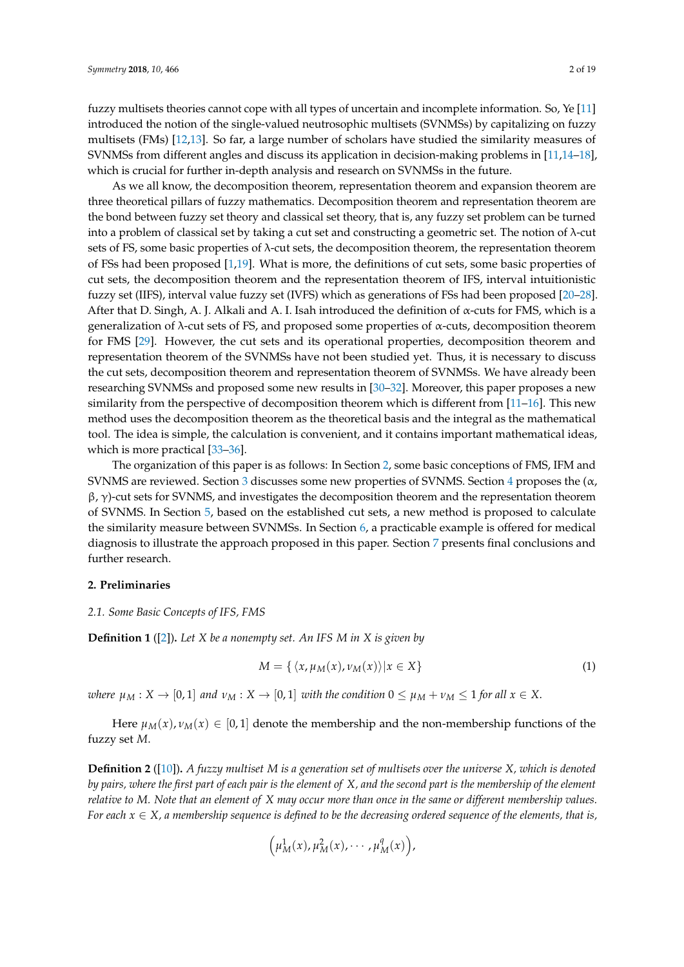fuzzy multisets theories cannot cope with all types of uncertain and incomplete information. So, Ye [\[11\]](#page-17-3) introduced the notion of the single-valued neutrosophic multisets (SVNMSs) by capitalizing on fuzzy multisets (FMs) [\[12,](#page-17-4)[13\]](#page-17-5). So far, a large number of scholars have studied the similarity measures of SVNMSs from different angles and discuss its application in decision-making problems in [\[11](#page-17-3)[,14](#page-17-6)[–18\]](#page-17-7), which is crucial for further in-depth analysis and research on SVNMSs in the future.

As we all know, the decomposition theorem, representation theorem and expansion theorem are three theoretical pillars of fuzzy mathematics. Decomposition theorem and representation theorem are the bond between fuzzy set theory and classical set theory, that is, any fuzzy set problem can be turned into a problem of classical set by taking a cut set and constructing a geometric set. The notion of λ-cut sets of FS, some basic properties of  $\lambda$ -cut sets, the decomposition theorem, the representation theorem of FSs had been proposed [\[1,](#page-16-0)[19\]](#page-17-8). What is more, the definitions of cut sets, some basic properties of cut sets, the decomposition theorem and the representation theorem of IFS, interval intuitionistic fuzzy set (IIFS), interval value fuzzy set (IVFS) which as generations of FSs had been proposed [\[20–](#page-17-9)[28\]](#page-17-10). After that D. Singh, A. J. Alkali and A. I. Isah introduced the definition of α-cuts for FMS, which is a generalization of λ-cut sets of FS, and proposed some properties of α-cuts, decomposition theorem for FMS [\[29\]](#page-17-11). However, the cut sets and its operational properties, decomposition theorem and representation theorem of the SVNMSs have not been studied yet. Thus, it is necessary to discuss the cut sets, decomposition theorem and representation theorem of SVNMSs. We have already been researching SVNMSs and proposed some new results in [\[30–](#page-17-12)[32\]](#page-18-0). Moreover, this paper proposes a new similarity from the perspective of decomposition theorem which is different from [\[11](#page-17-3)[–16\]](#page-17-13). This new method uses the decomposition theorem as the theoretical basis and the integral as the mathematical tool. The idea is simple, the calculation is convenient, and it contains important mathematical ideas, which is more practical [\[33](#page-18-1)[–36\]](#page-18-2).

The organization of this paper is as follows: In Section [2,](#page-1-0) some basic conceptions of FMS, IFM and SVNMS are reviewed. Section [3](#page-3-0) discusses some new properties of SVNMS. Section [4](#page-4-0) proposes the  $(\alpha,$  $\beta$ ,  $\gamma$ )-cut sets for SVNMS, and investigates the decomposition theorem and the representation theorem of SVNMS. In Section [5,](#page-13-0) based on the established cut sets, a new method is proposed to calculate the similarity measure between SVNMSs. In Section [6,](#page-14-0) a practicable example is offered for medical diagnosis to illustrate the approach proposed in this paper. Section [7](#page-16-3) presents final conclusions and further research.

## <span id="page-1-0"></span>**2. Preliminaries**

#### *2.1. Some Basic Concepts of IFS, FMS*

**Definition 1** ([\[2\]](#page-16-1))**.** *Let X be a nonempty set. An IFS M in X is given by*

$$
M = \{ \langle x, \mu_M(x), \nu_M(x) \rangle | x \in X \}
$$
 (1)

*where*  $\mu_M : X \to [0,1]$  *and*  $\nu_M : X \to [0,1]$  *with the condition*  $0 \le \mu_M + \nu_M \le 1$  *for all*  $x \in X$ .

Here  $\mu_M(x)$ ,  $\nu_M(x) \in [0,1]$  denote the membership and the non-membership functions of the fuzzy set *M*.

**Definition 2** ([\[10\]](#page-17-2))**.** *A fuzzy multiset M is a generation set of multisets over the universe X, which is denoted by pairs, where the first part of each pair is the element of X, and the second part is the membership of the element relative to M. Note that an element of X may occur more than once in the same or different membership values. For each*  $x \in X$ , a membership sequence is defined to be the decreasing ordered sequence of the elements, that is,

$$
\left(\mu^1_M(x),\mu^2_M(x),\cdots,\mu^q_M(x)\right),\,
$$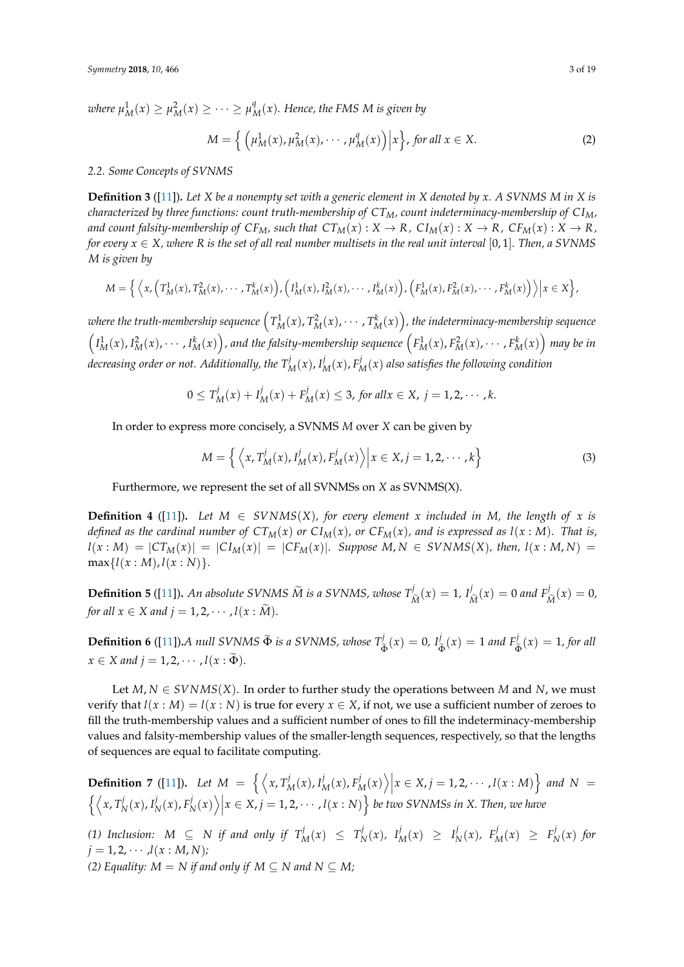where  $\mu^1_M(x) \ge \mu^2_M(x) \ge \cdots \ge \mu^q_M(x)$ . Hence, the FMS M is given by

$$
M = \left\{ \left. \left( \mu_M^1(x), \mu_M^2(x), \cdots, \mu_M^q(x) \right) \right| x \right\}, \text{ for all } x \in X. \tag{2}
$$

## *2.2. Some Concepts of SVNMS*

**Definition 3** ([\[11\]](#page-17-3))**.** *Let X be a nonempty set with a generic element in X denoted by x. A SVNMS M in X is characterized by three functions: count truth-membership of CTM, count indeterminacy-membership of C IM,* and count falsity-membership of  $CF_M$ , such that  $CT_M(x) : X \to R$ ,  $CI_M(x) : X \to R$ ,  $CF_M(x) : X \to R$ , *for every*  $x \in X$ , where R is the set of all real number multisets in the real unit interval [0,1]. Then, a SVNMS *M is given by*

$$
M = \left\{ \left\langle x, \left( T_M^1(x), T_M^2(x), \cdots, T_M^k(x) \right), \left( I_M^1(x), I_M^2(x), \cdots, I_M^k(x) \right), \left( F_M^1(x), F_M^2(x), \cdots, F_M^k(x) \right) \right\rangle \middle| x \in X \right\},\
$$

where the truth-membership sequence  $\left(T^1_M(x),T^2_M(x),\cdots,T^k_M(x)\right)$  , the indeterminacy-membership sequence  $\Big(I^1_M(x),I^2_M(x),\cdots,I^k_M(x)\Big)$ , and the falsity-membership sequence  $\Big(F^1_M(x),F^2_M(x),\cdots,F^k_M(x)\Big)$  may be in decreasing order or not. Additionally, the  $T_M^j(x)$ ,  $I_M^j(x)$ ,  $F_M^j(x)$  also satisfies the following condition

$$
0 \le T_M^j(x) + I_M^j(x) + F_M^j(x) \le 3, \text{ for all } x \in X, \, j = 1, 2, \cdots, k.
$$

In order to express more concisely, a SVNMS *M* over *X* can be given by

$$
M = \left\{ \left\langle x, T_M^j(x), I_M^j(x), F_M^j(x) \right\rangle \middle| x \in X, j = 1, 2, \cdots, k \right\}
$$
 (3)

Furthermore, we represent the set of all SVNMSs on *X* as SVNMS(X).

**Definition 4** ([\[11\]](#page-17-3)). Let  $M \in SVMMS(X)$ , for every element x included in M, the length of x is *defined as the cardinal number of*  $CT_M(x)$  *or*  $CI_M(x)$ *, or*  $CF_M(x)$ *, and is expressed as*  $l(x : M)$ *. That is,*  $l(x:M) = |CT_M(x)| = |CI_M(x)| = |CF_M(x)|$ . Suppose  $M, N \in SVNMS(X)$ , then,  $l(x:M, N) =$  $max{l(x : M), l(x : N)}.$ 

**Definition 5** ([\[11\]](#page-17-3)). An absolute SVNMS  $\widetilde{M}$  is a SVNMS, whose  $T^j_{\widetilde{I}}$  $\frac{d}{dt}$  $(x) = 1, I^j$  $\frac{d}{dt}$  $(x) = 0$  and  $F^j$  $\frac{y}{\tilde{M}}(x) = 0,$ *for all*  $x \in X$  *and*  $j = 1, 2, \cdots, l(x : \tilde{M})$ .

**Definition 6** ([\[11\]](#page-17-3)).A null SVNMS  $\widetilde{\Phi}$  is a SVNMS, whose  $T_{\widetilde{\delta}}^j$  $\frac{d}{d}f(x) = 0, I^j_{\hat{q}}$  $\frac{d}{d\tilde{\Phi}}(x) = 1$  and  $F^j_{\tilde{\Phi}}$  $\tilde{\Phi}^{(f)}(\mathbf{x}) = 1$ , for all  $x \in X$  and  $j = 1, 2, \cdots, l(x : \tilde{\Phi})$ .

Let  $M, N \in SVNMS(X)$ . In order to further study the operations between M and N, we must verify that  $l(x : M) = l(x : N)$  is true for every  $x \in X$ , if not, we use a sufficient number of zeroes to fill the truth-membership values and a sufficient number of ones to fill the indeterminacy-membership values and falsity-membership values of the smaller-length sequences, respectively, so that the lengths of sequences are equal to facilitate computing.

**Definition 7** ([11]). Let 
$$
M = \left\{ \left\langle x, T_M^j(x), I_M^j(x), F_M^j(x) \right\rangle \middle| x \in X, j = 1, 2, \cdots, l(x:M) \right\}
$$
 and  $N = \left\{ \left\langle x, T_N^j(x), I_M^j(x), F_N^j(x) \right\rangle \middle| x \in X, j = 1, 2, \cdots, l(x:N) \right\}$  be two SVMMs in X. Then, we have

*(1)* Inclusion:  $M \subseteq N$  *if and only if*  $T_M^j(x) \leq T_N^j$  $N^{j}(x)$ *,*  $I^{j}(M(x)) \geq I^{j}(X)$  $\frac{f}{N}(x)$ ,  $F_M^j(x) \geq F_M^j$  $\int_{N}^{f}(x)$  *for*  $j = 1, 2, \cdots, l(x : M, N)$ ; *(2) Equality:*  $M = N$  *if and only if*  $M \subseteq N$  *and*  $N \subseteq M$ *;*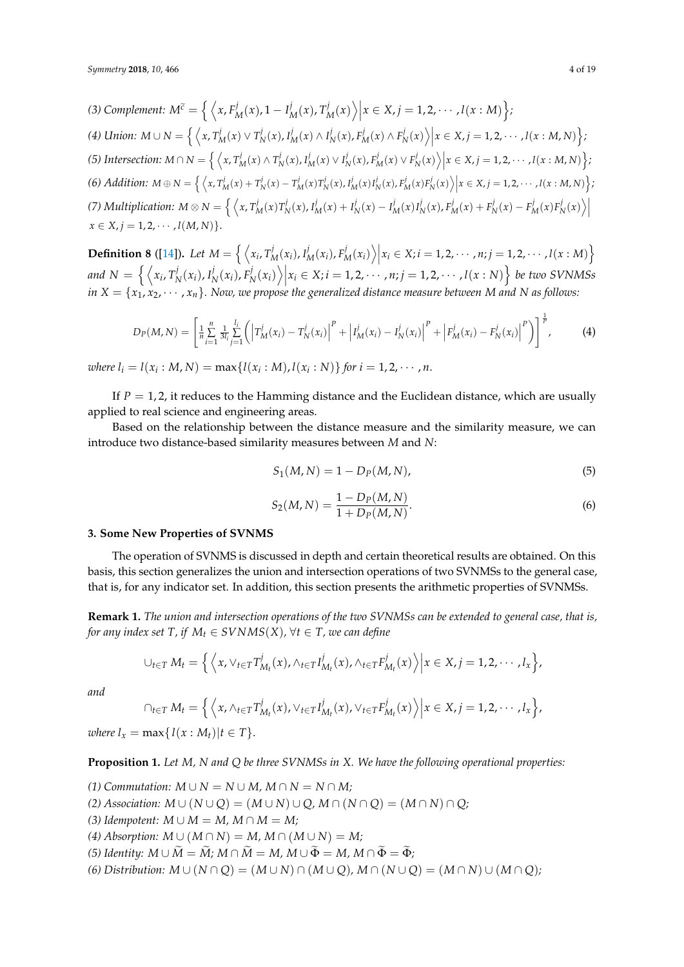(3) Complement:  $M^{\tilde{c}} = \left\{ \left\langle x, F_M^j(x), 1 - I_M^j(x), T_M^j(x) \right\rangle \middle| x \in X, j = 1, 2, \cdots, l(x:M) \right\},\$ *(*4) Union:  $M \cup N = \left\{ \left\langle x, T_M^j(x) \vee T_P^j \right\rangle \right\}$ *N*<sup>*j*</sup> (*x*), *I*<sup>*j*</sup><sub>*M*</sub>(*x*) ∧ *I*<sup>*j*</sup><sub>*I*</sub> *i*<sub>N</sub>(*x*),  $F_M^j(x)$  ∧  $F_N^j$  $\left| \frac{f}{N}(x) \right|$   $x \in X, j = 1, 2, \cdots, l(x : M, N)$ (5) Intersection:  $M \cap N = \left\{ \left\langle x, T_M^j(x) \wedge T_N^j(x), I_M^j(x) \vee I_N^j(x), F_M^j(x) \vee F_N^j(x) \right\rangle \middle| x \in X, j = 1, 2, \cdots, l(x:M,N) \right\},$ (6) Addition:  $M \oplus N = \left\{ \left\langle x, T_M^j(x) + T_N^j(x) - T_M^j(x) T_N^j(x), I_M^j(x) I_N^j(x), F_M^j(x) F_N^j(x) \right\rangle \middle| x \in X, j = 1, 2, \cdots, l(x : M, N) \right\};$ *(7) Multiplication:*  $M \otimes N = \left\{ \left\langle x, T_M^j(x) T_N^j(x) \right\rangle \right\}$  $N^{j}(x)$ ,  $I^{j}_{M}(x) + I^{j}_{N}$  $I_N^j(x) - I_M^j(x)I_I^j$  $F_N^j(x)$ ,  $F_M^j(x) + F_N^j$  $F_N^j(x) - F_M^j(x)F_N^j$  $\left|\frac{f}{N}(x)\right\rangle$  $x \in X, j = 1, 2, \cdots, l(M, N)$ .

**Definition 8** ([\[14\]](#page-17-6)). Let  $M = \left\{ \left\langle x_i, T_M^j(x_i), I_M^j(x_i), F_M^j(x_i) \right\rangle | x_i \in X; i = 1, 2, \cdots, n; j = 1, 2, \cdots, l(x : M) \right\}$ and  $N = \left\{ \left\langle x_i, T^j_{N}\right\rangle$  $N^{j}(x_i)$ , *I*<sup> $j$ </sup>  $N^j(x_i)$ ,  $F^j$  $\langle X_i | X_i | X_i \rangle$   $\langle X_i | X_i = 1, 2, \cdots, n; j = 1, 2, \cdots, l(x : N) \rangle$  be two SVNMSs *in*  $X = \{x_1, x_2, \dots, x_n\}$ . Now, we propose the generalized distance measure between M and N as follows:

$$
D_P(M,N) = \left[\frac{1}{n}\sum_{i=1}^n \frac{1}{3l_i}\sum_{j=1}^{l_i} \left( \left| T_M^j(x_i) - T_N^j(x_i) \right|^P + \left| I_M^j(x_i) - I_N^j(x_i) \right|^P + \left| F_M^j(x_i) - F_N^j(x_i) \right|^P \right) \right]^{\frac{1}{P}},\tag{4}
$$

 $where l_i = l(x_i : M, N) = \max\{l(x_i : M), l(x_i : N)\}$  for  $i = 1, 2, \dots, n$ .

If  $P = 1, 2$ , it reduces to the Hamming distance and the Euclidean distance, which are usually applied to real science and engineering areas.

Based on the relationship between the distance measure and the similarity measure, we can introduce two distance-based similarity measures between *M* and *N*:

$$
S_1(M, N) = 1 - D_P(M, N),
$$
\n(5)

$$
S_2(M,N) = \frac{1 - D_P(M,N)}{1 + D_P(M,N)}.
$$
\n(6)

## <span id="page-3-0"></span>**3. Some New Properties of SVNMS**

The operation of SVNMS is discussed in depth and certain theoretical results are obtained. On this basis, this section generalizes the union and intersection operations of two SVNMSs to the general case, that is, for any indicator set. In addition, this section presents the arithmetic properties of SVNMSs.

**Remark 1.** *The union and intersection operations of the two SVNMSs can be extended to general case, that is, for any index set T, if*  $M_t \in SVNMS(X)$ ,  $\forall t \in T$ , we can define

$$
\bigcup_{t \in T} M_t = \left\{ \left\langle x, \vee_{t \in T} T_{M_t}^j(x), \wedge_{t \in T} I_{M_t}^j(x), \wedge_{t \in T} F_{M_t}^j(x) \right\rangle \middle| x \in X, j = 1, 2, \cdots, l_x \right\},\
$$

*and*

$$
\bigcap_{t\in T}M_t=\left\{\left\langle x,\wedge_{t\in T}T_{M_t}^j(x),\vee_{t\in T}T_{M_t}^j(x),\vee_{t\in T}F_{M_t}^j(x)\right\rangle\bigg|x\in X,j=1,2,\cdots,l_x\right\},\right\}
$$

*where*  $l_x = \max\{l(x : M_t)|t \in T\}.$ 

## **Proposition 1.** *Let M, N and Q be three SVNMSs in X. We have the following operational properties:*

*(1) Commutation:*  $M \cup N = N \cup M$ ,  $M \cap N = N \cap M$ ; *(2) Association:*  $M \cup (N \cup Q) = (M \cup N) \cup Q$ ,  $M \cap (N \cap Q) = (M \cap N) \cap Q$ ; (3) Idempotent:  $M \cup M = M$ ,  $M \cap M = M$ ; (4) Absorption:  $M \cup (M \cap N) = M$ ,  $M \cap (M \cup N) = M$ ; *(5) Identity:*  $M \cup \widetilde{M} = \widetilde{M}$ ;  $M \cap \widetilde{M} = M$ ,  $M \cup \widetilde{\Phi} = M$ ,  $M \cap \widetilde{\Phi} = \widetilde{\Phi}$ ; *(6) Distribution:*  $M \cup (N \cap Q) = (M \cup N) \cap (M \cup Q)$ ,  $M \cap (N \cup Q) = (M \cap N) \cup (M \cap Q)$ ;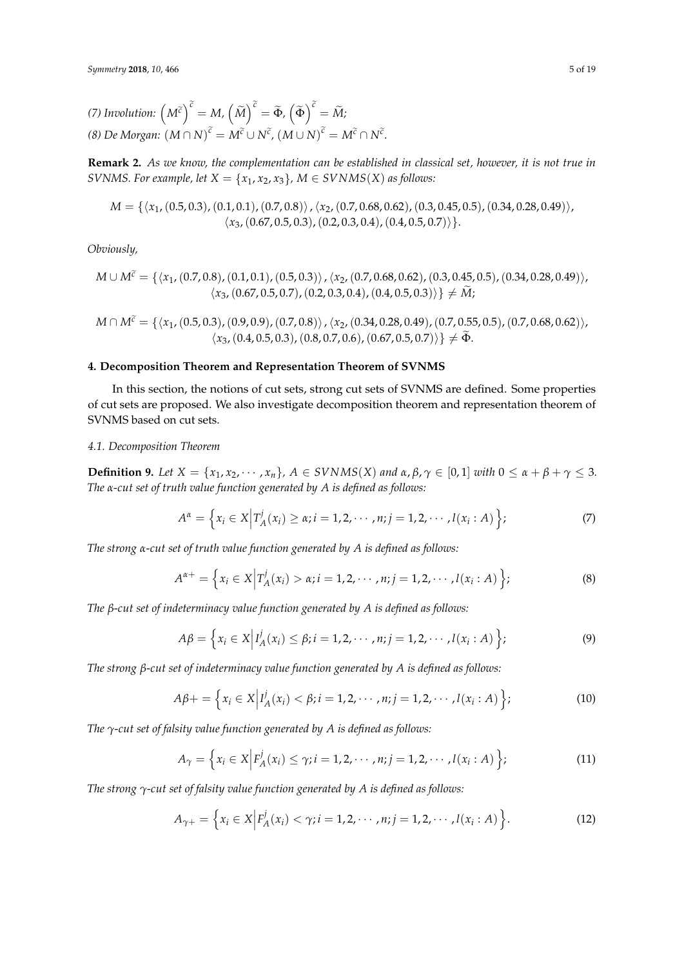*(7)* Involution:  $(M^{\tilde{c}})^{\tilde{c}} = M$ ,  $(\tilde{M})^{\tilde{c}} = \tilde{\Phi}$ ,  $(\tilde{\Phi})^{\tilde{c}} = \tilde{M}$ ;  $(8)$  De Morgan:  $(M \cap N)^{\widetilde{c}} = M^{\widetilde{c}} \cup N^{\widetilde{c}}$ ,  $(M \cup N)^{\widetilde{c}} = M^{\widetilde{c}} \cap N^{\widetilde{c}}$ .

**Remark 2.** *As we know, the complementation can be established in classical set, however, it is not true in SVNMS. For example, let*  $X = \{x_1, x_2, x_3\}$ ,  $M \in SVNMS(X)$  *as follows:* 

$$
M = \{ \langle x_1, (0.5, 0.3), (0.1, 0.1), (0.7, 0.8), \langle x_2, (0.7, 0.68, 0.62), (0.3, 0.45, 0.5), (0.34, 0.28, 0.49) \rangle, \\ \langle x_3, (0.67, 0.5, 0.3), (0.2, 0.3, 0.4), (0.4, 0.5, 0.7) \rangle \}.
$$

*Obviously,*

$$
M \cup M^{\tilde{c}} = \{ \langle x_1, (0.7, 0.8), (0.1, 0.1), (0.5, 0.3) \rangle, \langle x_2, (0.7, 0.68, 0.62), (0.3, 0.45, 0.5), (0.34, 0.28, 0.49) \rangle, \\ \langle x_3, (0.67, 0.5, 0.7), (0.2, 0.3, 0.4), (0.4, 0.5, 0.3) \rangle \} \neq \tilde{M};
$$

*M* ∩ *M*<sup> $\tilde{c}$  = { $\langle x_1, (0.5, 0.3), (0.9, 0.9), (0.7, 0.8)\rangle$ ,  $\langle x_2, (0.34, 0.28, 0.49), (0.7, 0.55, 0.5), (0.7, 0.68, 0.62)\rangle$ ,</sup>  $\langle x_3,(0.4, 0.5, 0.3),(0.8, 0.7, 0.6),(0.67, 0.5, 0.7)\rangle$ }  $\neq \tilde{\Phi}$ .

## <span id="page-4-0"></span>**4. Decomposition Theorem and Representation Theorem of SVNMS**

In this section, the notions of cut sets, strong cut sets of SVNMS are defined. Some properties of cut sets are proposed. We also investigate decomposition theorem and representation theorem of SVNMS based on cut sets.

## *4.1. Decomposition Theorem*

**Definition 9.** Let  $X = \{x_1, x_2, \dots, x_n\}$ ,  $A \in SVMS(X)$  and  $\alpha, \beta, \gamma \in [0, 1]$  with  $0 \leq \alpha + \beta + \gamma \leq 3$ . *The α*-*cut set of truth value function generated by A is defined as follows:*

$$
A^{\alpha} = \left\{ x_i \in X \middle| T_A^j(x_i) \ge \alpha; i = 1, 2, \cdots, n; j = 1, 2, \cdots, l(x_i : A) \right\};\tag{7}
$$

*The strong α*-*cut set of truth value function generated by A is defined as follows:*

$$
A^{\alpha+} = \left\{ x_i \in X \middle| T_A^j(x_i) > \alpha; i = 1, 2, \cdots, n; j = 1, 2, \cdots, l(x_i : A) \right\};
$$
\n(8)

*The β*-*cut set of indeterminacy value function generated by A is defined as follows:*

$$
A\beta = \left\{ x_i \in X \middle| I_A^j(x_i) \leq \beta; i = 1, 2, \cdots, n; j = 1, 2, \cdots, l(x_i : A) \right\};\tag{9}
$$

*The strong β*-*cut set of indeterminacy value function generated by A is defined as follows:*

$$
A\beta + \frac{1}{2}\left\{x_i \in X \middle| I_A^j(x_i) < \beta; i = 1, 2, \cdots, n; j = 1, 2, \cdots, l(x_i : A)\right\};\tag{10}
$$

*The γ*-*cut set of falsity value function generated by A is defined as follows:*

$$
A_{\gamma} = \left\{ x_i \in X \middle| F_A^j(x_i) \leq \gamma; i = 1, 2, \cdots, n; j = 1, 2, \cdots, l(x_i : A) \right\};\tag{11}
$$

*The strong γ*-*cut set of falsity value function generated by A is defined as follows:*

$$
A_{\gamma+} = \left\{ x_i \in X \middle| F_A^j(x_i) < \gamma; i = 1, 2, \cdots, n; j = 1, 2, \cdots, l(x_i : A) \right\}.
$$
\n(12)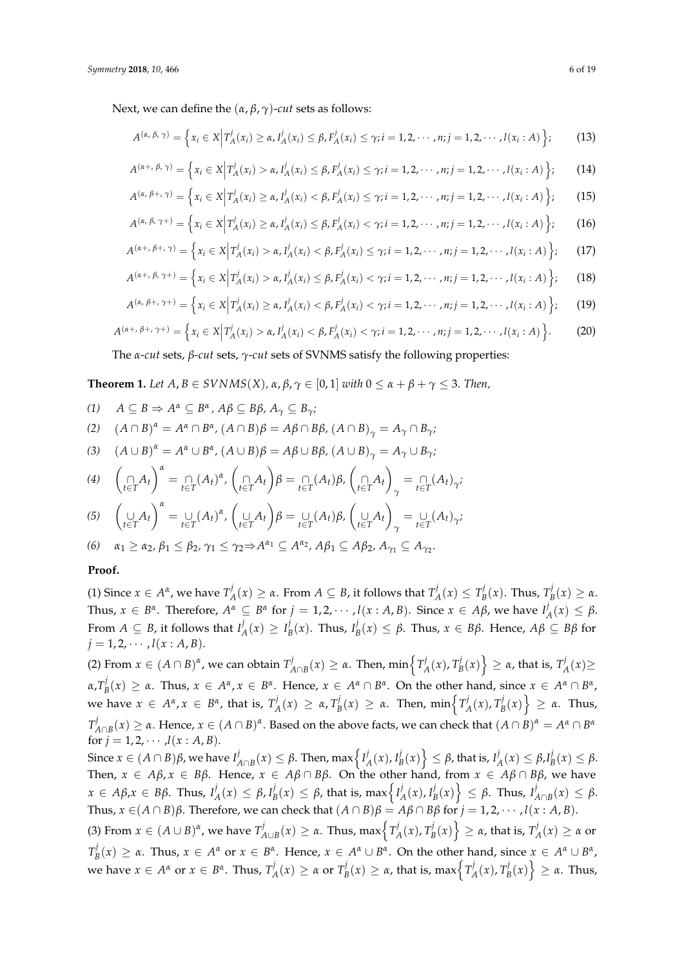Next, we can define the (*α*, *β*, *γ*)-*cut* sets as follows:

$$
A^{(\alpha,\beta,\gamma)} = \left\{ x_i \in X \middle| T_A^j(x_i) \ge \alpha, I_A^j(x_i) \le \beta, F_A^j(x_i) \le \gamma; i = 1, 2, \cdots, n; j = 1, 2, \cdots, l(x_i : A) \right\};\tag{13}
$$

$$
A^{(\alpha+,\beta,\,\gamma)}=\Big\{x_i\in X\Big|\,T_A^j(x_i)>\alpha,\,I_A^j(x_i)\leq\beta,\,F_A^j(x_i)\leq\gamma,\,i=1,2,\cdots,n;\,j=1,2,\cdots,l(x_i:A)\,\Big\};\qquad \, (14)
$$

$$
A^{(\alpha,\beta+\gamma)}=\Big\{x_i\in X\Big|\,T_A^j(x_i)\geq\alpha,\,I_A^j(x_i)<\beta,\,F_A^j(x_i)\leq\gamma;\,i=1,2,\cdots,n;\,j=1,2,\cdots,l(x_i:A)\,\Big\};\qquad \, (15)
$$

$$
A^{(\alpha, \beta, \gamma+)} = \left\{ x_i \in X \middle| T_A^j(x_i) \ge \alpha, I_A^j(x_i) \le \beta, F_A^j(x_i) < \gamma; i = 1, 2, \cdots, n; j = 1, 2, \cdots, I(x_i : A) \right\};\tag{16}
$$

$$
A^{(\alpha+,\beta+,\gamma)} = \left\{ x_i \in X \middle| T_A^j(x_i) > \alpha, I_A^j(x_i) < \beta, F_A^j(x_i) \leq \gamma; i = 1, 2, \cdots, n; j = 1, 2, \cdots, l(x_i : A) \right\};\tag{17}
$$

$$
A^{(\alpha+,\beta,\gamma+)} = \left\{ x_i \in X \middle| T_A^j(x_i) > \alpha, I_A^j(x_i) \leq \beta, F_A^j(x_i) < \gamma; i = 1, 2, \cdots, n; j = 1, 2, \cdots, l(x_i : A) \right\};\tag{18}
$$

$$
A^{(\alpha, \beta +, \gamma +)} = \left\{ x_i \in X \middle| T_A^j(x_i) \ge \alpha, I_A^j(x_i) < \beta, F_A^j(x_i) < \gamma; i = 1, 2, \cdots, n; j = 1, 2, \cdots, I(x_i : A) \right\};\tag{19}
$$

$$
A^{(\alpha+,\beta+,\gamma+)} = \Big\{ x_i \in X \Big| T_A^j(x_i) > \alpha, I_A^j(x_i) < \beta, F_A^j(x_i) < \gamma; i = 1, 2, \cdots, n; j = 1, 2, \cdots, l(x_i : A) \Big\}.
$$
 (20)

The *α*-*cut* sets, *β*-*cut* sets, *γ*-*cut* sets of SVNMS satisfy the following properties:

**Theorem 1.** Let  $A, B \in SVNMS(X)$ ,  $\alpha, \beta, \gamma \in [0, 1]$  *with*  $0 \leq \alpha + \beta + \gamma \leq 3$ . *Then,* 

(1) 
$$
A \subseteq B \Rightarrow A^{\alpha} \subseteq B^{\alpha}, A\beta \subseteq B\beta, A_{\gamma} \subseteq B_{\gamma};
$$
  
\n(2)  $(A \cap B)^{\alpha} = A^{\alpha} \cap B^{\alpha}, (A \cap B)\beta = A\beta \cap B\beta, (A \cap B)_{\gamma} = A_{\gamma} \cap B_{\gamma};$   
\n(3)  $(A \cup B)^{\alpha} = A^{\alpha} \cup B^{\alpha}, (A \cup B)\beta = A\beta \cup B\beta, (A \cup B)_{\gamma} = A_{\gamma} \cup B_{\gamma};$   
\n(4)  $(A \cap A)^{\alpha} = A^{\alpha} \cup A^{\alpha} \cup (A \cap A)_{\alpha} = A^{\alpha} \cup A^{\alpha} \cup (A \cap A)_{\alpha} = A^{\alpha} \cup A^{\alpha} \cup (A \cap A)_{\alpha} = A^{\alpha} \cup A^{\alpha} \cup (A \cap A)_{\alpha} = A^{\alpha} \cup A^{\alpha} \cup (A \cap A)_{\alpha} = A^{\alpha} \cup A^{\alpha} \cup (A \cap A)_{\alpha} = A^{\alpha} \cup A^{\alpha} \cup (A \cap A)_{\alpha} = A^{\alpha} \cup A^{\alpha} \cup (A \cap A)_{\alpha} = A^{\alpha} \cup A^{\alpha} \cup (A \cap A)_{\alpha} = A^{\alpha} \cup A^{\alpha} \cup (A \cap A)_{\alpha} = A^{\alpha} \cup A^{\alpha} \cup (A \cap A)_{\alpha} = A^{\alpha} \cup A^{\alpha} \cup (A \cap A)_{\alpha} = A^{\alpha} \cup A^{\alpha} \cup (A \cap A)_{\alpha} = A^{\alpha} \cup A^{\alpha} \cup (A \cap B)_{\alpha} = A^{\alpha} \cup A^{\alpha} \cup (A \cap B)_{\alpha} = A^{\alpha} \cup A^{\alpha} \cup (A \cap A)_{\alpha} = A^{\alpha} \cup A^{\alpha} \cup (A \cap A)_{\alpha} = A^{\alpha} \cup A^{\alpha} \cup (A \cap A)_{\alpha} = A^{\alpha} \cup A^{\alpha} \cup (A \cap A)_{\alpha} = A^{\alpha} \cup A^{\alpha} \cup (A \cap A)_{\alpha} = A^{\alpha} \cup A^{\alpha} \cup (A \cap A)_{\alpha} = A^{\alpha} \cup A^{\alpha} \cup (A \cap A)_{\alpha} = A^{\alpha$ 

$$
(4) \quad \left(\underset{t\in T}{\cap}A_{t}\right)^{\alpha}=\underset{t\in T}{\cap}(A_{t})^{\alpha},\left(\underset{t\in T}{\cap}A_{t}\right)\beta=\underset{t\in T}{\cap}(A_{t})\beta,\left(\underset{t\in T}{\cap}A_{t}\right)_{\gamma}=\underset{t\in T}{\cap}(A_{t})_{\gamma};
$$

$$
(5) \quad \left(\bigcup_{t\in T} A_t\right)^{\alpha} = \bigcup_{t\in T} \left(A_t\right)^{\alpha}, \left(\bigcup_{t\in T} A_t\right)^{\beta} = \bigcup_{t\in T} \left(A_t\right)^{\beta}, \left(\bigcup_{t\in T} A_t\right)^{\gamma} = \bigcup_{t\in T} \left(A_t\right)^{\gamma}
$$

$$
(6) \quad \alpha_1 \geq \alpha_2, \beta_1 \leq \beta_2, \gamma_1 \leq \gamma_2 \Rightarrow A^{\alpha_1} \subseteq A^{\alpha_2}, A\beta_1 \subseteq A\beta_2, A_{\gamma_1} \subseteq A_{\gamma_2}.
$$

## **Proof.**

(1) Since  $x \in A^{\alpha}$ , we have  $T^j_A$  $\frac{A}{A}$ (*x*) ≥ *α*. From *A* ⊆ *B*, it follows that  $T^j$  $T_A^j(x) \leq T_B^j$  $\frac{d}{d}$  $(x)$ . Thus,  $T_{\mu}^{j}$ *B* (*x*) ≥ *α*. Thus,  $x \in B^{\alpha}$ . Therefore,  $A^{\alpha} \subseteq B^{\alpha}$  for  $j = 1, 2, \cdots, l(x : A, B)$ . Since  $x \in A\beta$ , we have  $I^j$  $A^f_A(x) \leq \beta$ . From  $A \subseteq B$ , it follows that  $I^j$  $\frac{f}{A}(x) \geq I_I^j$  $B^j(x)$ . Thus,  $I^j_l$  $B_B^f(x)$  ≤ *β*. Thus, *x* ∈ *Bβ*. Hence, *Aβ* ⊆ *Bβ* for  $j = 1, 2, \cdots, l(x : A, B).$ 

(2) From  $x \in (A \cap B)^{\alpha}$ , we can obtain  $T^j$  $\frac{d}{d}$  *A* $\cap$  *B* $(x) \geq \alpha$ . Then, min $\left\{T\right\}$  $\chi^j_A(x)$ ,  $T^j_B$  $\left\{ \frac{d}{d} (x) \right\} \geq \alpha$ , that is,  $T^j_A$ *A* (*x*)≥ *α*,*T j*  $\mathcal{A}_B(x) \geq \alpha$ . Thus,  $x \in A^{\alpha}, x \in B^{\alpha}$ . Hence,  $x \in A^{\alpha} \cap B^{\alpha}$ . On the other hand, since  $x \in A^{\alpha} \cap B^{\alpha}$ , we have  $x \in A^{\alpha}, x \in B^{\alpha}$ , that is,  $T^j$  $\alpha_A^j(x) \geq \alpha$ ,  $T^j_B$  $\alpha_B^j(x) \ge \alpha$ . Then, min $\left\{T^j\right\}$  $\chi^j_A(x)$ ,  $T^j_B$  $\left\{ \frac{d}{dt}(x) \right\} \geq \alpha$ . Thus,  $T^j_{\overline{\ell}}$ *A*∩*B*(*x*) ≥ *α*. Hence, *x* ∈ (*A* ∩ *B*)<sup>α</sup>. Based on the above facts, we can check that  $(A ∩ B)$ <sup>α</sup> =  $A$ <sup>α</sup> ∩ *B*<sup>α</sup> for  $j = 1, 2, \cdots, l(x : A, B)$ .

Since  $x \in (A \cap B)\beta$ , we have  $I^j_\lambda$  $\frac{f}{A\cap B}(x)\leq \beta.$  Then, max $\left\{I^j_A\right\}$  $\chi^j_A(x)$ , *I*<sup> $j$ </sup>  $\left\{ \frac{d}{d}(\mathbf{x}) \right\} \leq \beta$ , that is,  $I^j_{\mathbf{x}}$  $\beta_A^j(x) \leq \beta_I I_I^j$  $B_B^f(x) \leq \beta$ . Then,  $x \in A\beta$ ,  $x \in B\beta$ . Hence,  $x \in A\beta \cap B\beta$ . On the other hand, from  $x \in A\beta \cap B\beta$ , we have  $x \in A\beta$ , $x \in B\beta$ . Thus,  $I^j$  $\beta_A(x) \leq \beta, I_l^j$  $\frac{f}{B}(x) \leq \beta$ , that is, max $\left\{I^j_{A}\right\}$  $\chi^j_A(x)$ , *I*<sup> $j$ </sup>  $\left\{ \frac{f}{B}(x) \right\} \leq \beta$ . Thus, *I*<sup>1</sup>  $\beta_{A\cap B}(x) \leq \beta.$ Thus, *x* ∈(*A* ∩ *B*)*β*. Therefore, we can check that (*A* ∩ *B*)*β* = *Aβ* ∩ *Bβ* for *j* = 1, 2, · · · , *l*(*x* : *A*, *B*).

(3) From  $x \in (A \cup B)^{\alpha}$ , we have  $T^j$  $\alpha \neq A ∪ B$  *(x*) ≥ *α*. Thus, max $\left\{T\right\}$  $\chi^j_A(x)$ ,  $T^j_B$  $\left\{ \mu\left(x\right)\right\} \geq\alpha$ , that is,  $T_{A}^{j}$ *A* (*x*) ≥ *α* or *T j*  $\mathcal{A}_B^J(x) \geq \alpha$ . Thus,  $x \in A^{\alpha}$  or  $x \in B^{\alpha}$ . Hence,  $x \in A^{\alpha} \cup B^{\alpha}$ . On the other hand, since  $x \in A^{\alpha} \cup B^{\alpha}$ , we have  $x \in A^{\alpha}$  or  $x \in B^{\alpha}$ . Thus,  $T^j$  $\alpha_A^j(x) \geq \alpha$  or  $T^j_B$  $\alpha_B^j(x) \geq \alpha$ , that is, max $\left\{T^j_\lambda\right\}$  $J_A^j(x)$ ,  $T_B^j$  $\left\{ \frac{d}{d} (x) \right\} \geq \alpha$ . Thus,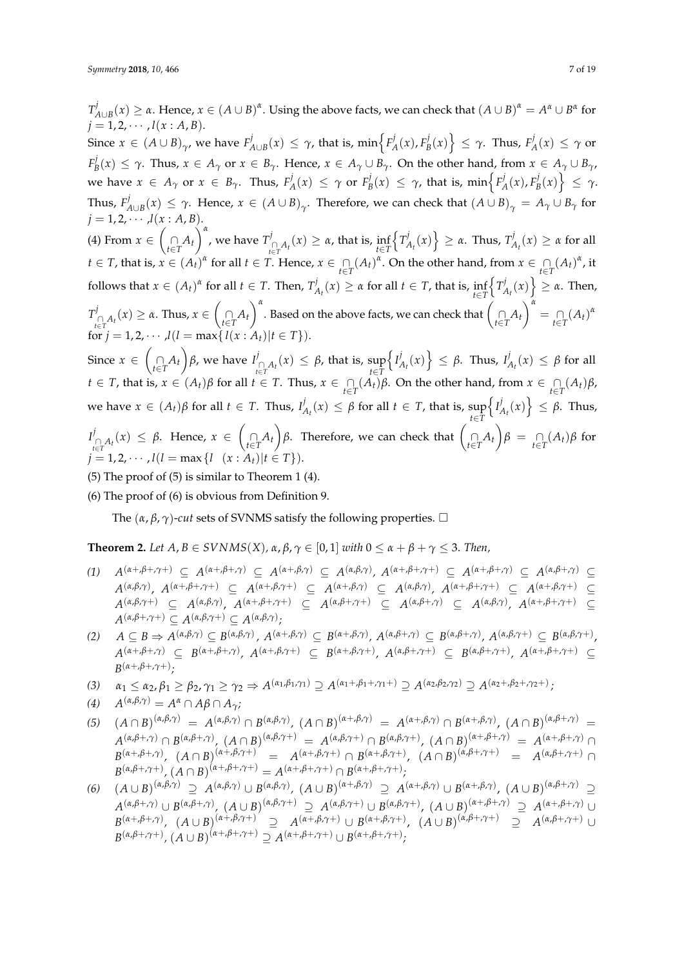$T^j_{\ \prime}$  $A ∪<sub>A∪B</sub>(x) ≥ α$ . Hence,  $x ∈ (A ∪ B)$ <sup>α</sup>. Using the above facts, we can check that  $(A ∪ B)$ <sup>α</sup> =  $A<sup>α</sup> ∪ B<sup>α</sup>$  for  $j = 1, 2, \cdots, l(x : A, B).$ Since  $x \in (A \cup B)_{\gamma}$ , we have  $F^j_A$  $\mathcal{F}_{A\cup B}^{j}(x) \,\leq\, \gamma$ , that is,  $\min\Bigl\{F_{A}^{j}(x)\Bigr\}$  $\chi^j_A(x)$ ,  $F^j_B$  $\left\{ \mathcal{B}^{j}(x)\right\} \leq \gamma.$  Thus,  $F_{\mathcal{A}}^{j}$  $P'_{A}(x)$  ≤ γ or *F j B* (*x*) ≤ *γ*. Thus, *x* ∈ *A<sup>γ</sup>* or *x* ∈ *Bγ*. Hence, *x* ∈ *A<sup>γ</sup>* ∪ *Bγ*. On the other hand, from *x* ∈ *A<sup>γ</sup>* ∪ *Bγ*, we have  $x \in A_\gamma$  or  $x \in B_\gamma$ . Thus,  $F^j_\lambda$  $\gamma_A^j(x) \leq \gamma$  or  $F^j_B$  $B^j_B(x) \leq \gamma$ , that is, min $\left\{F^j_A\right\}$  $\chi^j_A(x)$ ,  $F^j_B$  $\left\{ \frac{f}{B}(x) \right\} \leq \gamma.$ Thus,  $F^j_{\lambda}$  $\frac{A}{A\cup B}(x) \leq \gamma$ . Hence,  $x \in (A \cup B)_{\gamma}$ . Therefore, we can check that  $(A \cup B)_{\gamma} = A_{\gamma} \cup B_{\gamma}$  for  $j = 1, 2, \cdots, l(x : A, B).$ (4) From  $x \in \left(\bigcap_{t \in T} A_t\right)$  $\int_0^{\alpha}$ , we have  $T^j$  $\int_{t \in T}^{\prime} A_t(x) \geq \alpha$ , that is, inf  $\int T^j$  $\left\{ \begin{matrix} d_{t}(x) \end{matrix} \right\} \geq \alpha.$  Thus,  $T_{A}^{j}$ *At* (*x*) ≥ *α* for all  $t \in T$ , that is,  $x \in (A_t)^{\alpha}$  for all  $t \in T$ . Hence,  $x \in \bigcap_{t \in T} (A_t)^{\alpha}$ . On the other hand, from  $x \in \bigcap_{t \in T} (A_t)^{\alpha}$ , it follows that  $x \in (A_t)^{\alpha}$  for all  $t \in T$ . Then,  $T^j$  $\nu_{A_t}^J$  (*x*) ≥ *α* for all *t* ∈ *T*, that is, inf  $\left\{T\right\}$  $\left\{ \begin{matrix} d \\ A_t(x) \end{matrix} \right\} \geq \alpha.$  Then,  $T^j$  $\int_{t \in T}^{j} A_t(x) \geq α$ . Thus, *x* ∈  $\left(\bigcap_{t \in T} A_t\right)$  $\int_0^{\alpha}$ . Based on the above facts, we can check that  $\left(\bigcap\limits_{t \in T} A_t\right)$  $\int_0^{\alpha} = \bigcap_{t \in T} (A_t)^{\alpha}$ for  $j = 1, 2, \cdots, l(l = \max\{l(x : A_t)|t \in T\}).$ Since  $x \in {\bigcap_{t \in T}} A_t$   $\beta$ , we have  $I^j$  $\bigcap_{t \in T}^f A_t(x) \leq \beta$ , that is, sup<br>*t*∈*T t*∈*T*  $\left\{I^j\right\}$  $\left\{ \frac{j}{A_t}(x) \right\} \leq \beta$ . Thus, *I*<sup> $j$ </sup>  $A_t(x) \leq \beta$  for all  $t \in T$ , that is,  $x \in (A_t)\beta$  for all  $t \in T$ . Thus,  $x \in \bigcap_{t \in T} (A_t)\beta$ . On the other hand, from  $x \in \bigcap_{t \in T} (A_t)\beta$ , we have  $x \in (A_t)\beta$  for all  $t \in T$ . Thus,  $I^j$  $P_{A_t}(x)$  ≤ *β* for all *t* ∈ *T*, that is, sup *t*∈*T*  $\left\{I\right\}$  $\left\{ \frac{d}{dt}(x) \right\} \leq \beta$ . Thus, *I j*  $\int_{t\in T}^{j} A_t(x) \leq \beta$ . Hence,  $x \in {\bigcap_{t\in T}} A_t\bigg) \beta$ . Therefore, we can check that  ${\bigcap_{t\in T}} A_t\bigg) \beta = {\bigcap_{t\in T}} (A_t) \beta$  for  $j = 1, 2, \cdots, l(l = \max\{l \mid (x : A_t)|t \in T\}).$ 

- (5) The proof of (5) is similar to Theorem 1 (4).
- (6) The proof of (6) is obvious from Definition 9.

The  $(\alpha, \beta, \gamma)$ -*cut* sets of SVNMS satisfy the following properties.  $\Box$ 

**Theorem 2.** Let  $A, B \in SVNMS(X)$ ,  $\alpha, \beta, \gamma \in [0, 1]$  with  $0 \leq \alpha + \beta + \gamma \leq 3$ . Then,

- $(1)$   $A^{(\alpha+,\beta+,\gamma+)} \subseteq A^{(\alpha+,\beta+,\gamma)} \subseteq A^{(\alpha+,\beta,\gamma)} \subseteq A^{(\alpha,\beta,\gamma)}, A^{(\alpha+,\beta+,\gamma+)} \subseteq A^{(\alpha+,\beta+,\gamma)} \subseteq A^{(\alpha,\beta+,\gamma)} \subseteq$  $A^{(\alpha,\beta,\gamma)},\,\,A^{(\alpha+,\beta+,\gamma+)}\,\,\subseteq\,\,A^{(\alpha+,\beta,\gamma+)}\,\,\subseteq\,\,A^{(\alpha+,\beta,\gamma)}\,\,\subseteq\,\,A^{(\alpha,\beta,\gamma)},\,\,A^{(\alpha+,\beta+,\gamma+)}\,\,\subseteq\,\,A^{(\alpha+,\beta,\gamma+)}\,\,\subseteq\,\,A^{(\alpha+,\beta,\gamma+)}$  $A^{(\alpha,\beta,\gamma+)} \;\; \subseteq \;\; A^{(\alpha,\beta,\gamma)}, \;\, A^{(\alpha+,\beta+,\gamma+)} \;\; \subseteq \;\; A^{(\alpha,\beta+,\gamma+)} \;\; \subseteq \;\; A^{(\alpha,\beta+,\gamma)} \;\; \subseteq \;\; A^{(\alpha,\beta,\gamma)}, \;\, A^{(\alpha+,\beta+,\gamma+)} \;\; \subseteq \;\;$  $A^{(\alpha,\beta+\gamma+)} \subseteq A^{(\alpha,\beta,\gamma+)} \subseteq A^{(\alpha,\beta,\gamma)}$ ;
- (2)  $A \subseteq B \Rightarrow A^{(\alpha,\beta,\gamma)} \subseteq B^{(\alpha,\beta,\gamma)}$ ,  $A^{(\alpha+\beta,\gamma)} \subseteq B^{(\alpha+\beta,\gamma)}$ ,  $A^{(\alpha,\beta+\gamma)} \subseteq B^{(\alpha,\beta+\gamma)}$ ,  $A^{(\alpha,\beta,\gamma+)} \subseteq B^{(\alpha,\beta,\gamma+)}$ ,  $A^{(\alpha+,\beta+,\gamma)} \subseteq B^{(\alpha+,\beta+,\gamma)},\ A^{(\alpha+,\beta,\gamma+)} \subseteq B^{(\alpha+,\beta,\gamma+)} ,\ A^{(\alpha,\beta+,\gamma+)} \subseteq B^{(\alpha,\beta+,\gamma+)} ,\ A^{(\alpha+,\beta+,\gamma+)} \subseteq B^{(\alpha+,\beta+,\gamma+)} ,$ *B* (*α*+,*β*+,*γ*+)*;*
- (3)  $\alpha_1 \leq \alpha_2, \beta_1 \geq \beta_2, \gamma_1 \geq \gamma_2 \Rightarrow A^{(\alpha_1, \beta_1, \gamma_1)} \supseteq A^{(\alpha_1 + \beta_1 + \gamma_1 +)} \supseteq A^{(\alpha_2, \beta_2, \gamma_2)} \supseteq A^{(\alpha_2 + \beta_2 + \gamma_2 +)}$
- $(4)$  $(\alpha,\beta,\gamma) = A^{\alpha} \cap A\beta \cap A_{\gamma}$ *;*
- (5)  $(A \cap B)^{(\alpha,\beta,\gamma)} = A^{(\alpha,\beta,\gamma)} \cap B^{(\alpha,\beta,\gamma)}$ ,  $(A \cap B)^{(\alpha+,\beta,\gamma)} = A^{(\alpha+,\beta,\gamma)} \cap B^{(\alpha+,\beta,\gamma)}$ ,  $(A \cap B)^{(\alpha,\beta+\gamma)} =$  $A^{(\alpha,\beta+\gamma)} \cap B^{(\alpha,\beta+\gamma)}, \; (A \cap B)^{(\alpha,\beta,\gamma+)} \; = \; A^{(\alpha,\beta,\gamma+)} \cap B^{(\alpha,\beta,\gamma+)} , \; (A \cap B)^{(\alpha+,\beta+\gamma)} \; = \; A^{(\alpha+,\beta+\gamma)} \; \cap \;$  $B^{(\alpha + \beta + \gamma)}, \ \ (A \cap B)^{(\alpha + \beta, \gamma +)} = A^{(\alpha + \beta, \gamma +)} \cap B^{(\alpha + \beta, \gamma +)}, \ \ (A \cap B)^{(\alpha, \beta + \gamma +)} = A^{(\alpha, \beta + \gamma +)} \cap$  $B^{(\alpha,\beta+,\gamma+)}$ ,  $(A \cap B)^{(\alpha+,\beta+,\gamma+)} = A^{(\alpha+,\beta+,\gamma+)} \cap B^{(\alpha+,\beta+,\gamma+)}$
- (6)  $(A\cup B)^{(\alpha,\beta,\gamma)} \supseteq A^{(\alpha,\beta,\gamma)} \cup B^{(\alpha,\beta,\gamma)}$ ,  $(A\cup B)^{(\alpha+,\beta,\gamma)} \supseteq A^{(\alpha+,\beta,\gamma)} \cup B^{(\alpha+,\beta,\gamma)}$ ,  $(A\cup B)^{(\alpha,\beta+,\gamma)} \supseteq$  $A^{(\alpha,\beta+\gamma)} \cup B^{(\alpha,\beta+\gamma)}, \; (A \cup B)^{(\alpha,\beta,\gamma+)} \; \supseteq \; A^{(\alpha,\beta,\gamma+)} \cup B^{(\alpha,\beta,\gamma+)} , \; (A \cup B)^{(\alpha+,\beta+\gamma)} \; \supseteq \; A^{(\alpha+,\beta+\gamma)} \; \cup$  $B^{(\alpha+,\beta+,\gamma)}$ ,  $(A \cup B)^{(\alpha+,\beta,\gamma+)} \supseteq A^{(\alpha+,\beta,\gamma+)} \cup B^{(\alpha+,\beta,\gamma+)}$ ,  $(A \cup B)^{(\alpha,\beta+,\gamma+)} \supseteq A^{(\alpha,\beta+,\gamma+)} \cup$  $B^{(\alpha,\beta+\gamma+)}$ ,  $(A \cup B)^{(\alpha+\beta+\gamma+)} \supseteq A^{(\alpha+\beta+\gamma+)} \cup B^{(\alpha+\beta+\gamma+)}$ ;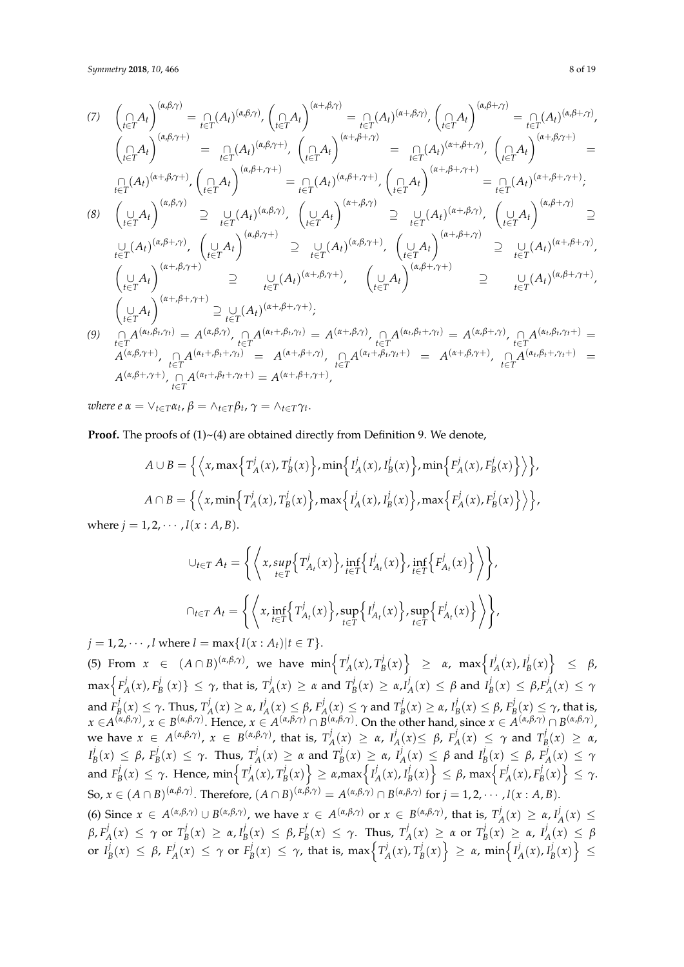*Symmetry* **2018**, 10, 466 8 of 19

(7) 
$$
\begin{aligned}\n\binom{\cap A_t}{t\in T} \left( \bigcap_{t\in T} A_t \right)^{(\alpha,\beta,\gamma)} &= \bigcap_{t\in T} (A_t)^{(\alpha,\beta,\gamma)}, \quad \left( \bigcap_{t\in T} A_t \right)^{(\alpha+\beta,\gamma)} = \bigcap_{t\in T} (A_t)^{(\alpha+\beta,\gamma)}, \quad \left( \bigcap_{t\in T} A_t \right)^{(\alpha,\beta+\gamma)} = \bigcap_{t\in T} (A_t)^{(\alpha,\beta+\gamma)} \\
\binom{\cap A_t}{t\in T} \left( \bigcap_{t\in T} A_t \right)^{(\alpha+\beta,\gamma+)} &= \bigcap_{t\in T} (A_t)^{(\alpha+\beta,\gamma+)} \left( \bigcap_{t\in T} A_t \right)^{(\alpha+\beta+\gamma+)} = \bigcap_{t\in T} (A_t)^{(\alpha+\beta+\gamma+)} \left( \bigcap_{t\in T} A_t \right)^{(\alpha+\beta,\gamma+)} = \bigcap_{t\in T} (A_t)^{(\alpha+\beta,\gamma+)} \left( \bigcap_{t\in T} A_t \right)^{(\alpha+\beta+\gamma+)} = \bigcap_{t\in T} (A_t)^{(\alpha+\beta,\gamma+)} \left( \bigcap_{t\in T} A_t \right)^{(\alpha+\beta,\gamma+)} = \bigcap_{t\in T} (A_t)^{(\alpha+\beta,\gamma+)} \left( \bigcap_{t\in T} A_t \right)^{(\alpha+\beta,\gamma)} = \bigcup_{t\in T} (A_t)^{(\alpha+\beta,\gamma)} \left( \bigcup_{t\in T} A_t \right)^{(\alpha+\beta,\gamma)} = \bigcup_{t\in T} (A_t)^{(\alpha+\beta+\gamma+)} \left( \bigcup_{t\in T} A_t \right)^{(\alpha+\beta+\gamma+)} = \bigcup_{t\in T} (A_t)^{(\alpha+\beta+\gamma+)} \left( \bigcup_{t\in T} A_t \right)^{(\alpha+\beta+\gamma+)} = \bigcup_{t\in T} (A_t)^{(\alpha+\beta+\gamma+)} \left( \bigcup_{t\in T} A_t \right)^{(\alpha+\beta+\gamma+)} = \bigcup_{t\in T} (A_t)^{(\alpha+\beta+\gamma+)} \left( \bigcup_{t\in T} A_t \right)^{(\alpha+\beta+\gamma+)} = \bigcup_{t\in T} (A_t)^{(\alpha+\beta+\gamma+)} = A^{(\alpha,\beta,\gamma+)} \cdot \bigcap_{t\in T} A^{(\alpha+\beta+\gamma+)} = A^{(\alpha,\beta,\gamma+)}
$$

 $\omega$ *here e*  $\alpha = \vee_{t \in T} \alpha_t$ ,  $\beta = \wedge_{t \in T} \beta_t$ ,  $\gamma = \wedge_{t \in T} \gamma_t$ .

**Proof.** The proofs of  $(1)$   $\neg$   $(4)$  are obtained directly from Definition 9. We denote,

$$
A \cup B = \left\{ \left\langle x, \max\left\{ T_A^j(x), T_B^j(x) \right\}, \min\left\{ T_A^j(x), T_B^j(x) \right\}, \min\left\{ F_A^j(x), F_B^j(x) \right\} \right\rangle \right\},\newline A \cap B = \left\{ \left\langle x, \min\left\{ T_A^j(x), T_B^j(x) \right\}, \max\left\{ T_A^j(x), T_B^j(x) \right\}, \max\left\{ F_A^j(x), F_B^j(x) \right\} \right\rangle \right\},\newline = 1, 2, \ldots, l(x : A, B)
$$

where  $j = 1, 2, \cdots, l(x : A, B)$ .

$$
\bigcup_{t \in T} A_t = \left\{ \left\langle x, \sup_{t \in T} \left\{ T_{A_t}^j(x) \right\}, \inf_{t \in T} \left\{ I_{A_t}^j(x) \right\}, \inf_{t \in T} \left\{ F_{A_t}^j(x) \right\} \right\rangle \right\},\
$$

$$
\bigcap_{t \in T} A_t = \left\{ \left\langle x, \inf_{t \in T} \left\{ T_{A_t}^j(x) \right\}, \sup_{t \in T} \left\{ I_{A_t}^j(x) \right\}, \sup_{t \in T} \left\{ F_{A_t}^j(x) \right\} \right\rangle \right\},\
$$

 $j = 1, 2, \dots, l$  where  $l = \max\{l(x : A_t)|t \in T\}.$ 

(5) From  $x \in (A \cap B)^{(\alpha,\beta,\gamma)}$ , we have  $\min\left\{T\right\}$  $J_A^j(x)$ ,  $T_I^j$  $\begin{cases} \n\frac{1}{B}(x) \n\end{cases} \geq \alpha$ , max $\left\{ I \right\}$  $\chi^j_A(x)$ , *I*<sup> $j$ </sup>  $\left\{\begin{array}{c} \n\frac{1}{B}(x) \n\end{array}\right\} \leq \beta$ ,  $\max\left\{F^j_{\ell}\right\}$  $A^j(A)$ ,  $F^j_B(A)$  $\{f_B^j(x)\}\leq \gamma$ , that is,  $T^j_A$  $\alpha_A^j(x) \geq \alpha$  and  $T^j_B$  $\alpha_B^j(x) \geq \alpha$ ,*I*<sup>*j*</sup>  $\frac{f}{A}(x) \leq \beta$  and  $I^j_R$  $\beta_B^j(x) \leq \beta_i F^j$ *A* (*x*) ≤ *γ* and  $F_F^j$  $\frac{d}{d}$  $(x) \leq \gamma$ . Thus,  $T^j$  $\alpha_A^j(x) \geq \alpha$ , *Ι*<sup>*j*</sup></sup>  $\beta$ <sub>*A*</sub> $(x) \leq \beta$ ,  $F_{A}^{j}$  $\gamma^j_A(x) \leq \gamma$  and  $T^j_B$  $\alpha_B$ <sup>*j*</sup>(*x*) ≥ *α*, *I*<sup>*j*</sup><sub>*l*</sub>  $B^j(B(x) \leq \beta, F^j_B$  $B_{B}^{\prime}(x) \leq \gamma$ , that is,  $x \in A^{(\alpha,\beta,\gamma)}$ ,  $x \in B^{(\alpha,\beta,\gamma)}$ . Hence,  $x \in A^{(\alpha,\beta,\gamma)} \cap B^{(\alpha,\beta,\gamma)}$ . On the other hand, since  $x \in A^{(\alpha,\beta,\gamma)} \cap B^{(\alpha,\beta,\gamma)}$ , we have  $x \in A^{(\alpha,\beta,\gamma)}$ ,  $x \in B^{(\alpha,\beta,\gamma)}$ , that is,  $T^j$  $\alpha_A^j(x) \geq \alpha$ , *I*<sup>*j*</sup> *A* (*x*)≤ *β*, *F j*  $\gamma_A^j(x) \leq \gamma$  and  $T_I^j$  $B$ <sup> $\prime$ </sup>  $B$ (*x*)  $\geq \alpha$ *I j*  $\beta_B(x) \leq \beta$ ,  $F_B^j$  $B^j(x) \leq \gamma$ . Thus,  $T^j$  $\alpha_A^j(x) \geq \alpha$  and  $T^j_B$  $\alpha_B^j(x) \geq \alpha$ , *I*<sup>*j*</sup>  $\beta_A(x) \leq \beta$  and  $I_I^j$  $\frac{f}{B}(x) \leq \beta$ ,  $F^f$ *A* (*x*) ≤ *γ* and  $F_F^j$  $\frac{f_j}{B}(x) \leq \gamma$ . Hence, min $\left\{T^j(A)\right\}$  $\chi^j_A(x)$ ,  $T^j_B$  $\left\{ \mu^{j}(x) \right\} \geq \alpha, \max\left\{ I^j \right\}$  $\chi^j_A(x)$ , *I*<sup> $j$ </sup>  $\left\{ \frac{f}{B}(x) \right\} \leq \beta$ , max $\left\{ F^j_A \right\}$  $\chi^j_A(x)$ ,  $F^j_B$  $\left\{ \frac{f}{B}(x) \right\} \leq \gamma.$ So,  $x \in (A \cap B)^{(\alpha,\beta,\gamma)}$ . Therefore,  $(A \cap B)^{(\alpha,\beta,\gamma)} = A^{(\alpha,\beta,\gamma)} \cap B^{(\alpha,\beta,\gamma)}$  for  $j = 1,2,\cdots, l(x:A,B)$ . (6) Since  $x \in A^{(\alpha,\beta,\gamma)} \cup B^{(\alpha,\beta,\gamma)}$ , we have  $x \in A^{(\alpha,\beta,\gamma)}$  or  $x \in B^{(\alpha,\beta,\gamma)}$ , that is,  $T^j$  $\alpha_A^j(x) \geq \alpha, I^j$  $A(x) \leq$ *β*, *F j*  $\gamma_A^j(x) \leq \gamma$  or  $T^j_B$  $\alpha_B$ <sup>*j*</sup>(*x*)  $\geq \alpha$ , *I*<sup>*j*</sup><sub>*B*</sub>  $\beta_B(x) \leq \beta, F_B^j$  $B$ <sup>*j*</sup> $(x) \leq \gamma$ . Thus,  $T^j$  $\alpha_A^j(x) \geq \alpha$  or  $T^j_B$  $\alpha_B^j(x) \geq \alpha$ , *I*<sup>*j*</sup>  $P_A(x) \leq \beta$ or  $I^j_{\bar{I}}$  $\beta_B(x) \leq \beta$ ,  $F^j_A$  $\gamma_A^j(x) \leq \gamma$  or  $F^j_B$  $B^j_B(x) \ \leq \ \gamma$ , that is, max $\left\{T^j_A\right\}$  $T_A^j(x)$ ,  $T_B^j$  $\left\{ \begin{array}{lcl} \mathbf{y}^j|X\end{array} \right\} \; \geq \; \alpha, \; \min\Bigl\{I^j\Bigr\}$  $\chi^j_A(x)$ , *I*<sup> $j$ </sup>  $\left\{ \frac{j}{B}(x)\right\}$   $\leq$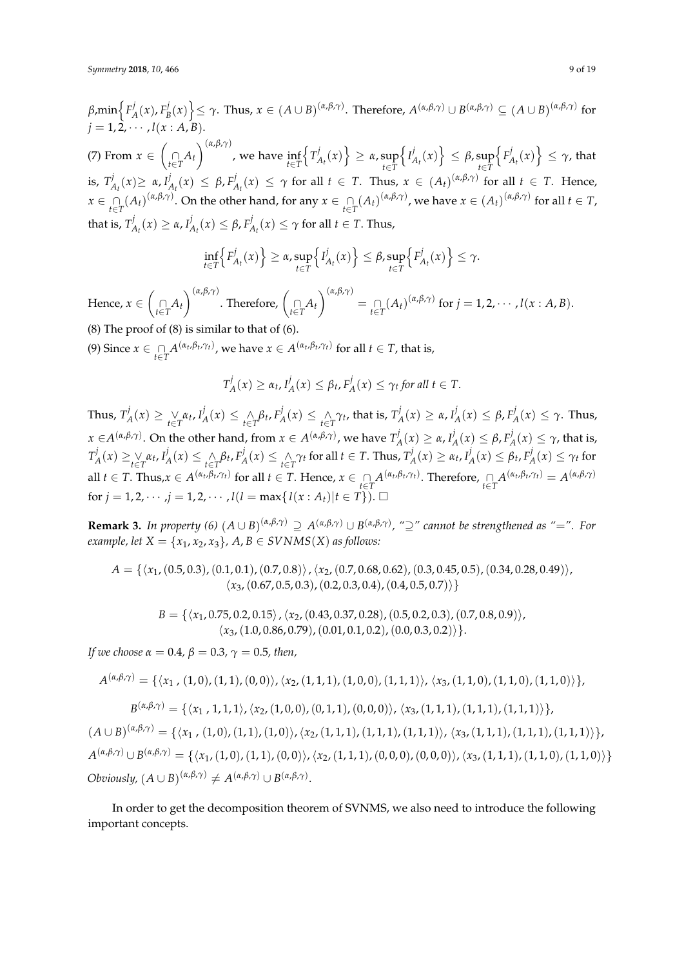$\beta$ ,min $\left\{F^j_{\ell}\right\}$  $A^j(A)$ ,  $F^j_B(A)$  $\{g^{j}_{B}(x)\} \leq \gamma$ . Thus,  $x \in (A \cup B)^{(\alpha,\beta,\gamma)}$ . Therefore,  $A^{(\alpha,\beta,\gamma)} \cup B^{(\alpha,\beta,\gamma)} \subseteq (A \cup B)^{(\alpha,\beta,\gamma)}$  for  $j = 1, 2, \cdots, l(x : A, B).$ (7) From  $x \in \left( \bigcap_{t \in T} A_t \right)$  $\int_0^{(\alpha,\beta,\gamma)}$ , we have  $\inf_{t \in T}$  $\left\{T^{j}_{j}\right\}$  $\left\{\begin{array}{c} \nA_t(x) \n\end{array}\right\} \geq \alpha$ , sup *t*∈*T*  $\left\{I\right\}$  $\left\{ \frac{d}{dt}(x) \right\} \leq \beta$ , sup *t*∈*T*  $\left\{F_{j}^{j}\right\}$  $\left\{ \begin{matrix} d \\ A_t(x) \end{matrix} \right\} \leq \gamma$ , that is,  $T_{\scriptscriptstyle\neq}^j$  $A_t$ <sup>*(x*)≥</sup> *α*, *I*<sup>*j*</sup></sup>  $\beta_{A_t}(x) \leq \beta, F^j_A$  $A_t$ (*x*) ≤ *γ* for all *t* ∈ *T*. Thus, *x* ∈ (*At*)<sup>(*α,β*,*γ*)</sub> for all *t* ∈ *T*. Hence,</sup>  $x \in \bigcap_{t \in T} (A_t)^{(\alpha,\beta,\gamma)}$ . On the other hand, for any  $x \in \bigcap_{t \in T} (A_t)^{(\alpha,\beta,\gamma)}$ , we have  $x \in (A_t)^{(\alpha,\beta,\gamma)}$  for all  $t \in T$ , that is,  $T_{\lambda}^j$  $A_t^j(x) \geq \alpha, I^j$  $\beta_{A_t}(x) \leq \beta, F^j_A$  $P_{A_t}^f(x) \leq \gamma$  for all  $t \in T$ . Thus,

$$
\inf_{t\in T}\Big\{F_{A_t}^j(x)\Big\}\geq \alpha, \sup_{t\in T}\Big\{I_{A_t}^j(x)\Big\}\leq \beta, \sup_{t\in T}\Big\{F_{A_t}^j(x)\Big\}\leq \gamma.
$$

Hence,  $x \in \left(\bigcap_{t \in T} A_t\right)$  $\int_{0}^{(\alpha,\beta,\gamma)}$ . Therefore,  $\left(\bigcap_{t\in T}A_t\right)$  $\int_{t=T}^{(\alpha,\beta,\gamma)}$  =  $\bigcap_{t\in T} (A_t)^{(\alpha,\beta,\gamma)}$  for  $j=1,2,\cdots,l(x:A,B).$ (8) The proof of (8) is similar to that of (6).

(9) Since  $x \in \bigcap_{t \in T} A^{(\alpha_t, \beta_t, \gamma_t)}$ , we have  $x \in A^{(\alpha_t, \beta_t, \gamma_t)}$  for all  $t \in T$ , that is,

$$
T_A^j(x) \ge \alpha_t, I_A^j(x) \le \beta_t, F_A^j(x) \le \gamma_t \text{ for all } t \in T.
$$

Thus,  $T^j_{\lambda}$  $\chi^j_A(x) \geq \frac{1}{t \in T} \alpha_t$ ,  $I^j_A$  $\frac{f}{A}(x) \leq \bigwedge_{t \in T} \beta_t$ ,  $F^j$  $\frac{d}{dt}(x) \leq \underset{t \in T}{\wedge} \gamma_t$ , that is,  $T^j_A$  $\alpha_A^j(x) \geq \alpha, I^j$  $\beta_A^j(x) \leq \beta, F^j_A$  $\gamma_A^j$ (*x*) ≤ γ. Thus,  $x \in A^{(\alpha,\beta,\gamma)}$ . On the other hand, from  $x \in A^{(\alpha,\beta,\gamma)}$ , we have  $T^j$  $\alpha_A^j(x) \geq \alpha, I^j$  $\beta_A(x) \leq \beta, F^j$  $\gamma_A^J(x) \leq \gamma$ , that is,  $T^j_{\ \prime}$  $\sum_{t \in T}^{j} \alpha_t, I^j$  $\sum_{t \in T}^{j} \beta_t$ ,  $F_{A}^{j}$  $\frac{d}{dt}(x) \leq \bigwedge_{t \in T} \gamma_t$  for all  $t \in T$ . Thus,  $T^j_A$  $\alpha_A^j(x) \geq \alpha_t, I^j$  $\beta_A^j(x) \leq \beta_t, F^j_A$ *A* (*x*) ≤ *γ<sup>t</sup>* for all  $t \in T$ . Thus, $x \in A^{(\alpha_t, \beta_t, \gamma_t)}$  for all  $t \in T$ . Hence,  $x \in \bigcap_{t \in T} A^{(\alpha_t, \beta_t, \gamma_t)}$ . Therefore,  $\bigcap_{t \in T} A^{(\alpha_t, \beta_t, \gamma_t)} = A^{(\alpha, \beta, \gamma)}$ for *j* = 1, 2, · ⋅ · *,j* = 1, 2, · ⋅ · *,l*(*l* = max{ $l(x : A_t)|t \in T$ }). □

**Remark 3.** In property (6)  $(A \cup B)^{(\alpha,\beta,\gamma)} \supseteq A^{(\alpha,\beta,\gamma)} \cup B^{(\alpha,\beta,\gamma)}$ , " $\supseteq$ " cannot be strengthened as "=". For *example, let*  $X = \{x_1, x_2, x_3\}$ ,  $A, B \in SVNMS(X)$  *as follows:* 

 $A = \{\langle x_1,(0.5, 0.3),(0.1, 0.1),(0.7, 0.8)\rangle,\langle x_2,(0.7, 0.68, 0.62),(0.3, 0.45, 0.5),(0.34, 0.28, 0.49)\rangle,$  $\langle x_3,(0.67, 0.5, 0.3), (0.2, 0.3, 0.4), (0.4, 0.5, 0.7)\rangle$ 

$$
B = \{ \langle x_1, 0.75, 0.2, 0.15 \rangle, \langle x_2, (0.43, 0.37, 0.28), (0.5, 0.2, 0.3), (0.7, 0.8, 0.9) \rangle, \\ \langle x_3, (1.0, 0.86, 0.79), (0.01, 0.1, 0.2), (0.0, 0.3, 0.2) \rangle \}.
$$

*If we choose*  $α = 0.4$ ,  $β = 0.3$ ,  $γ = 0.5$ , then,

$$
A^{(\alpha,\beta,\gamma)} = \{ \langle x_1, (1,0), (1,1), (0,0) \rangle, \langle x_2, (1,1,1), (1,0,0), (1,1,1) \rangle, \langle x_3, (1,1,0), (1,1,0), (1,1,0) \rangle \},
$$
  
\n
$$
B^{(\alpha,\beta,\gamma)} = \{ \langle x_1, 1, 1, 1 \rangle, \langle x_2, (1,0,0), (0,1,1), (0,0,0) \rangle, \langle x_3, (1,1,1), (1,1,1), (1,1,1) \rangle \},
$$
  
\n
$$
(A \cup B)^{(\alpha,\beta,\gamma)} = \{ \langle x_1, (1,0), (1,1), (1,0) \rangle, \langle x_2, (1,1,1), (1,1,1), (1,1,1) \rangle, \langle x_3, (1,1,1), (1,1,1), (1,1,1) \rangle \},
$$
  
\n
$$
A^{(\alpha,\beta,\gamma)} \cup B^{(\alpha,\beta,\gamma)} = \{ \langle x_1, (1,0), (1,1), (0,0) \rangle, \langle x_2, (1,1,1), (0,0,0), (0,0,0) \rangle, \langle x_3, (1,1,1), (1,1,0), (1,1,0) \rangle \}
$$
  
\nObviously, 
$$
(A \cup B)^{(\alpha,\beta,\gamma)} \neq A^{(\alpha,\beta,\gamma)} \cup B^{(\alpha,\beta,\gamma)}.
$$

In order to get the decomposition theorem of SVNMS, we also need to introduce the following important concepts.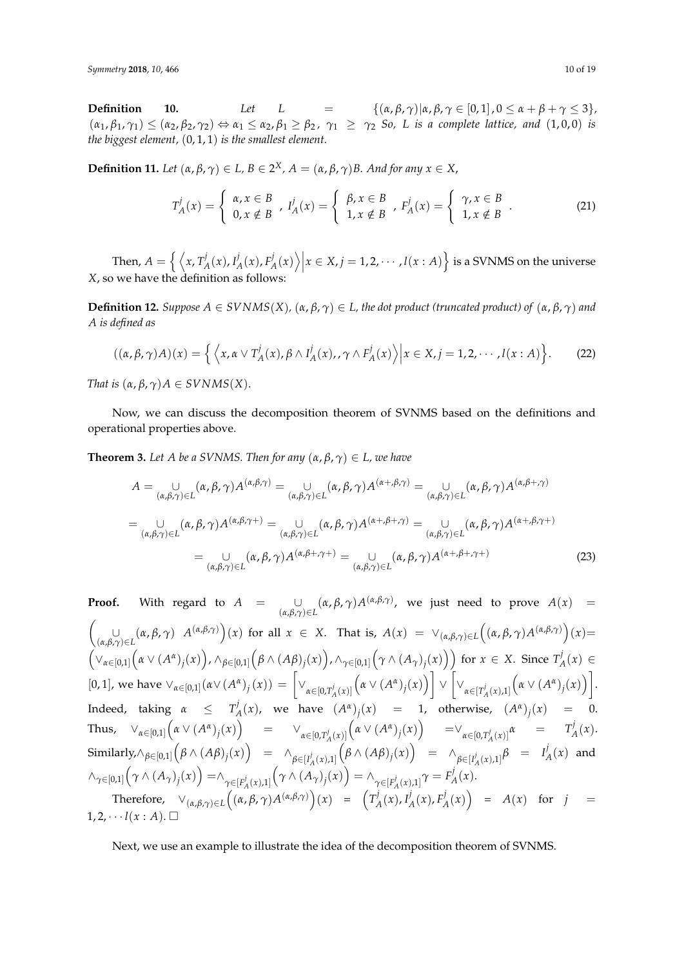**Definition** 10. *Let*  $L = \{(\alpha, \beta, \gamma) | \alpha, \beta, \gamma \in [0, 1], 0 \le \alpha + \beta + \gamma \le 3\},\$  $(\alpha_1, \beta_1, \gamma_1) \leq (\alpha_2, \beta_2, \gamma_2) \Leftrightarrow \alpha_1 \leq \alpha_2, \beta_1 \geq \beta_2$ ,  $\gamma_1 \geq \gamma_2$  *So, L is a complete lattice, and* (1,0,0) *is the biggest element,* (0, 1, 1) *is the smallest element.*

**Definition 11.** Let  $(\alpha, \beta, \gamma) \in L$ ,  $B \in 2^X$ ,  $A = (\alpha, \beta, \gamma)B$ . And for any  $x \in X$ ,

$$
T_A^j(x) = \begin{cases} \alpha, x \in B \\ 0, x \notin B \end{cases}, \ I_A^j(x) = \begin{cases} \beta, x \in B \\ 1, x \notin B \end{cases}, \ F_A^j(x) = \begin{cases} \gamma, x \in B \\ 1, x \notin B \end{cases}.
$$
 (21)

Then,  $A = \left\{ \left\langle x, T^j \right\rangle \right\}$  $\chi^j_A(x)$ ,  $I^j_A$  $\frac{j}{A}(x)$ ,  $F_{A}^{j}$  $\mathcal{A}^{j}(x)$   $\Big\vert x \in X, j = 1, 2, \cdots, l(x:A) \Big\}$  is a SVNMS on the universe *X*, so we have the definition as follows:

**Definition 12.** *Suppose*  $A \in SVMS(X)$ ,  $(\alpha, \beta, \gamma) \in L$ , the dot product (truncated product) of  $(\alpha, \beta, \gamma)$  and *A is defined as*

$$
((\alpha,\beta,\gamma)A)(x) = \Big\{ \Big\langle x, \alpha \vee T_A^j(x), \beta \wedge T_A^j(x), \gamma \wedge T_A^j(x) \Big\rangle \Big| x \in X, j = 1,2,\cdots, l(x:A) \Big\}.
$$
 (22)

*That is*  $(\alpha, \beta, \gamma)A \in SVNMS(X)$ .

Now, we can discuss the decomposition theorem of SVNMS based on the definitions and operational properties above.

**Theorem 3.** Let A be a SVNMS. Then for any  $(\alpha, \beta, \gamma) \in L$ , we have

$$
A = \bigcup_{(\alpha,\beta,\gamma)\in L} (\alpha,\beta,\gamma) A^{(\alpha,\beta,\gamma)} = \bigcup_{(\alpha,\beta,\gamma)\in L} (\alpha,\beta,\gamma) A^{(\alpha+\beta,\gamma)} = \bigcup_{(\alpha,\beta,\gamma)\in L} (\alpha,\beta,\gamma) A^{(\alpha,\beta+\gamma)}
$$
  
\n
$$
= \bigcup_{(\alpha,\beta,\gamma)\in L} (\alpha,\beta,\gamma) A^{(\alpha,\beta,\gamma+)} = \bigcup_{(\alpha,\beta,\gamma)\in L} (\alpha,\beta,\gamma) A^{(\alpha+\beta+\gamma)} = \bigcup_{(\alpha,\beta,\gamma)\in L} (\alpha,\beta,\gamma) A^{(\alpha+\beta+\gamma+)} = \bigcup_{(\alpha,\beta,\gamma)\in L} (\alpha,\beta,\gamma) A^{(\alpha+\beta+\gamma+)} \tag{23}
$$

**Proof.** With regard to  $A = \bigcup_{(\alpha,\beta,\gamma)\in L} (\alpha,\beta,\gamma)A^{(\alpha,\beta,\gamma)}$ , we just need to prove  $A(x) =$  ∪  $\bigcup_{(\alpha,\beta,\gamma)\in L} (\alpha,\beta,\gamma)$   $A^{(\alpha,\beta,\gamma)}(x)$  for all  $x \in X$ . That is,  $A(x) = \vee_{(\alpha,\beta,\gamma)\in L} ((\alpha,\beta,\gamma)A^{(\alpha,\beta,\gamma)})(x) =$  $\left(\vee_{\alpha\in[0,1]}\left(\alpha\vee (A^\alpha)_j(x)\right),\wedge_{\beta\in[0,1]}\left(\beta\wedge (A\beta)_j(x)\right),\wedge_{\gamma\in[0,1]}\left(\gamma\wedge (A_\gamma)_j(x)\right)\right)$  for  $x\in X$ . Since  $T^j$  $P$ <sup>*A*</sup>(*x*) ∈  $[0,1]$ , we have  $\vee_{\alpha\in[0,1]}(\alpha\vee(A^\alpha)_j(x))=\left[\vee_{\alpha\in[0,T_A^j(x)]}\Bigl(\alpha\vee(A^\alpha)_j(x)\Bigr)\right]\vee \left[\vee_{\alpha\in[T_A^j(x),1]}(x)\right]$  $\left( \alpha \vee (A^{\alpha})_j(x) \right)$ . Indeed, taking  $\alpha \leq T^j$ *A*<sub>(</sub>*x*), we have  $(A^{\alpha})_j(x)$  = 1, otherwise,  $(A^{\alpha})_j(x)$  = 0. Thus,  $\vee_{\alpha\in[0,1]} \left( \alpha \vee (A^\alpha)_j(x) \right)$  =  $\vee_{\alpha\in[0,T_A^j(x)]} \left( \alpha \vee (A^\alpha)_j(x) \right)$  =  $\vee_{\alpha\in[0,T_A^j(x)]} \alpha$  = T<sub>1</sub>  $A'(x)$ .  $\text{Similarly,} \land_{\beta \in [0,1]} \left( \beta \land (A\beta)_j(x) \right) = \land_{\beta \in [I_A^j(x),1]}$  $\left(\beta \wedge (A\beta)_j(x)\right) = \wedge_{\beta \in [I^j_A(x),1]} \beta = I^j_A$  $A(x)$  and  $\wedge_{\gamma \in [0,1]} \left( \gamma \wedge (A_\gamma)_j(x) \right) = \wedge_{\gamma \in [F_A^j(x),1]}$  $A^{(\lambda)/1}$   $\qquad \qquad$   $\qquad \qquad$   $\qquad$   $\qquad$   $\qquad$   $\qquad$   $\qquad$   $\qquad$   $\qquad$   $\qquad$   $\qquad$   $\qquad$   $\qquad$   $\qquad$   $\qquad$   $\qquad$   $\qquad$   $\qquad$   $\qquad$   $\qquad$   $\qquad$   $\qquad$   $\qquad$   $\qquad$   $\qquad$   $\qquad$   $\qquad$   $\qquad$   $\qquad$   $\qquad$   $\qquad$   $\qquad$   $\qquad$   $\qquad$   $\left(\gamma \wedge (A_{\gamma})_j(x)\right) = \wedge_{\gamma \in [F^j_A(x),1]} \gamma = F^j_A$  $A'(x)$ . Therefore,  $\vee_{(\alpha,\beta,\gamma)\in L} ((\alpha,\beta,\gamma)A^{(\alpha,\beta,\gamma)})(x) = (T^j_A)$  $\chi^j_A(x)$ ,  $I^j_A$  $\frac{j}{A}(x)$ ,  $F^j_A$  $A^j_A(x)$  =  $A(x)$  for  $j =$  $1, 2, \cdots$  *l*( $x : A$ ).  $\square$ 

Next, we use an example to illustrate the idea of the decomposition theorem of SVNMS.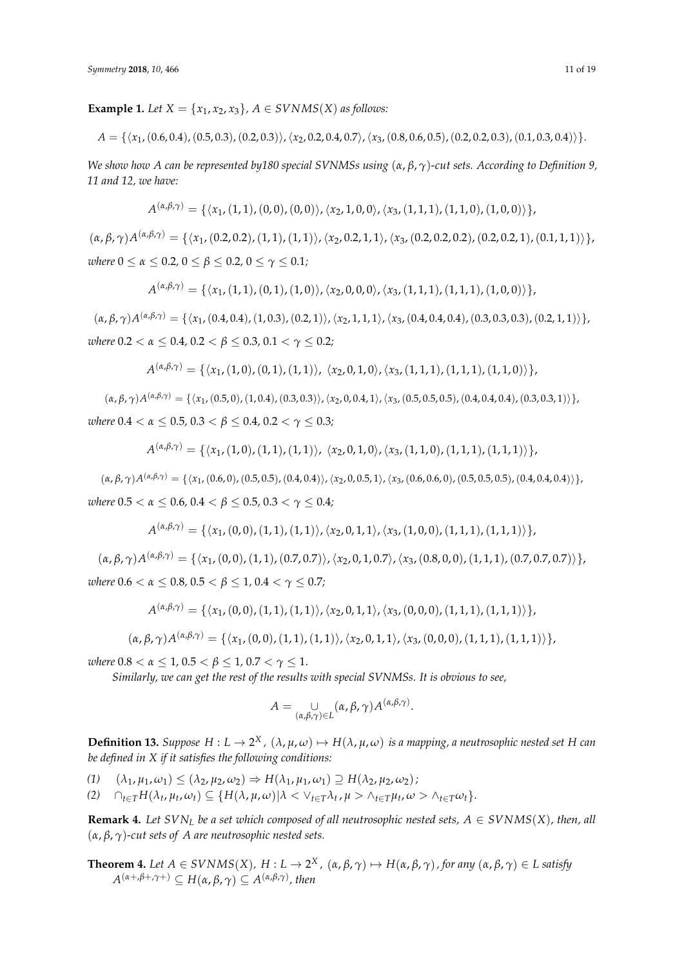**Example 1.** *Let*  $X = \{x_1, x_2, x_3\}$ ,  $A \in SVNMS(X)$  *as follows:* 

$$
A = \{ \langle x_1, (0.6, 0.4), (0.5, 0.3), (0.2, 0.3) \rangle, \langle x_2, 0.2, 0.4, 0.7 \rangle, \langle x_3, (0.8, 0.6, 0.5), (0.2, 0.2, 0.3), (0.1, 0.3, 0.4) \rangle \}.
$$

*We show how A can be represented by180 special SVNMSs using* (*α*, *β*, *γ*)-*cut sets. According to Definition 9, 11 and 12, we have:*

$$
A^{(\alpha,\beta,\gamma)}=\{\langle x_1,(1,1),(0,0),(0,0)\rangle,\langle x_2,1,0,0\rangle,\langle x_3,(1,1,1),(1,1,0),(1,0,0)\rangle\},
$$

 $(\alpha, \beta, \gamma) A^{(\alpha, \beta, \gamma)} = {\langle x_1, (0.2, 0.2), (1, 1), (1, 1) \rangle}, \langle x_2, 0.2, 1, 1 \rangle, \langle x_3, (0.2, 0.2, 0.2), (0.2, 0.2, 1), (0.1, 1, 1) \rangle},$ *where*  $0 \le \alpha \le 0.2$ ,  $0 \le \beta \le 0.2$ ,  $0 \le \gamma \le 0.1$ *;* 

$$
A^{(\alpha,\beta,\gamma)} = \{ \langle x_1, (1,1), (0,1), (1,0) \rangle, \langle x_2, 0, 0, 0 \rangle, \langle x_3, (1,1,1), (1,1,1), (1,0,0) \rangle \},
$$

 $(\alpha, \beta, \gamma) A^{(\alpha, \beta, \gamma)} = {\langle \langle x_1, (0.4, 0.4), (1, 0.3), (0.2, 1) \rangle, \langle x_2, 1, 1, 1 \rangle, \langle x_3, (0.4, 0.4, 0.4), (0.3, 0.3, 0.3), (0.2, 1, 1) \rangle },$ *where* 0.2 < *α* ≤ 0.4*,* 0.2 < *β* ≤ 0.3*,* 0.1 < *γ* ≤ 0.2*;*

$$
A^{(\alpha,\beta,\gamma)} = \{ \langle x_1, (1,0), (0,1), (1,1) \rangle, \langle x_2, 0, 1, 0 \rangle, \langle x_3, (1,1,1), (1,1,1), (1,1,0) \rangle \},
$$

 $(\alpha, \beta, \gamma) A^{(\alpha, \beta, \gamma)} = {\langle x_1, (0.5, 0), (1, 0.4), (0.3, 0.3)\rangle}, \langle x_2, 0, 0.4, 1 \rangle, \langle x_3, (0.5, 0.5, 0.5), (0.4, 0.4, 0.4), (0.3, 0.3, 1)\rangle},$ *where* 0.4 < *α* ≤ 0.5*,* 0.3 < *β* ≤ 0.4*,* 0.2 < *γ* ≤ 0.3*;*

$$
A^{(\alpha,\beta,\gamma)} = \{ \langle x_1, (1,0), (1,1), (1,1) \rangle, \ \langle x_2, 0, 1, 0 \rangle, \langle x_3, (1,1,0), (1,1,1), (1,1,1) \rangle \},
$$

 $(\alpha, \beta, \gamma) A^{(\alpha, \beta, \gamma)} = {\langle x_1, (0.6, 0), (0.5, 0.5), (0.4, 0.4)\rangle}, \langle x_2, 0, 0.5, 1\rangle, \langle x_3, (0.6, 0.6, 0), (0.5, 0.5, 0.5), (0.4, 0.4, 0.4)\rangle},$ *where* 0.5 < *α* ≤ 0.6*,* 0.4 < *β* ≤ 0.5*,* 0.3 < γ ≤ 0.4*;* 

$$
A^{(\alpha,\beta,\gamma)} = \{ \langle x_1, (0,0), (1,1), (1,1) \rangle, \langle x_2, 0, 1, 1 \rangle, \langle x_3, (1,0,0), (1,1,1), (1,1,1) \rangle \},
$$

 $(\alpha, \beta, \gamma) A^{(\alpha, \beta, \gamma)} = {\langle x_1, (0, 0), (1, 1), (0.7, 0.7)\rangle}, \langle x_2, 0, 1, 0.7\rangle, \langle x_3, (0.8, 0, 0), (1, 1, 1), (0.7, 0.7, 0.7)\rangle},$ *where*  $0.6 < \alpha \leq 0.8$ ,  $0.5 < \beta \leq 1$ ,  $0.4 < \gamma \leq 0.7$ ;

$$
A^{(\alpha,\beta,\gamma)} = \{ \langle x_1, (0,0), (1,1), (1,1) \rangle, \langle x_2, 0, 1, 1 \rangle, \langle x_3, (0,0,0), (1,1,1), (1,1,1) \rangle \},
$$
  

$$
(\alpha,\beta,\gamma)A^{(\alpha,\beta,\gamma)} = \{ \langle x_1, (0,0), (1,1), (1,1) \rangle, \langle x_2, 0, 1, 1 \rangle, \langle x_3, (0,0,0), (1,1,1), (1,1,1) \rangle \},
$$

*where*  $0.8 < \alpha \leq 1$ ,  $0.5 < \beta \leq 1$ ,  $0.7 < \gamma \leq 1$ .

*Similarly, we can get the rest of the results with special SVNMSs. It is obvious to see,*

$$
A = \bigcup_{(\alpha,\beta,\gamma)\in L} (\alpha,\beta,\gamma) A^{(\alpha,\beta,\gamma)}.
$$

**Definition 13.** Suppose  $H: L \to 2^X$ ,  $(\lambda, \mu, \omega) \mapsto H(\lambda, \mu, \omega)$  is a mapping, a neutrosophic nested set H can *be defined in X if it satisfies the following conditions:*

 $(1)$   $(\lambda_1, \mu_1, \omega_1) \leq (\lambda_2, \mu_2, \omega_2) \Rightarrow H(\lambda_1, \mu_1, \omega_1) \supseteq H(\lambda_2, \mu_2, \omega_2)$ ;

(2)  $\bigcap_{t\in T}H(\lambda_t,\mu_t,\omega_t)\subseteq \{H(\lambda,\mu,\omega)|\lambda<\vee_{t\in T}\lambda_t,\mu>\wedge_{t\in T}\mu_t,\omega>\wedge_{t\in T}\omega_t\}.$ 

**Remark 4.** Let  $SVN<sub>L</sub>$  be a set which composed of all neutrosophic nested sets,  $A \in SVNMS(X)$ , then, all (*α*, *β*, *γ*)-*cut sets of A are neutrosophic nested sets.*

**Theorem 4.** Let  $A \in SVMS(X)$ ,  $H: L \to 2^X$ ,  $(\alpha, \beta, \gamma) \mapsto H(\alpha, \beta, \gamma)$ , for any  $(\alpha, \beta, \gamma) \in L$  satisfy  $A^{(\alpha + \beta + \gamma +)} \subseteq H(\alpha, \beta, \gamma) \subseteq A^{(\alpha, \beta, \gamma)}$ , then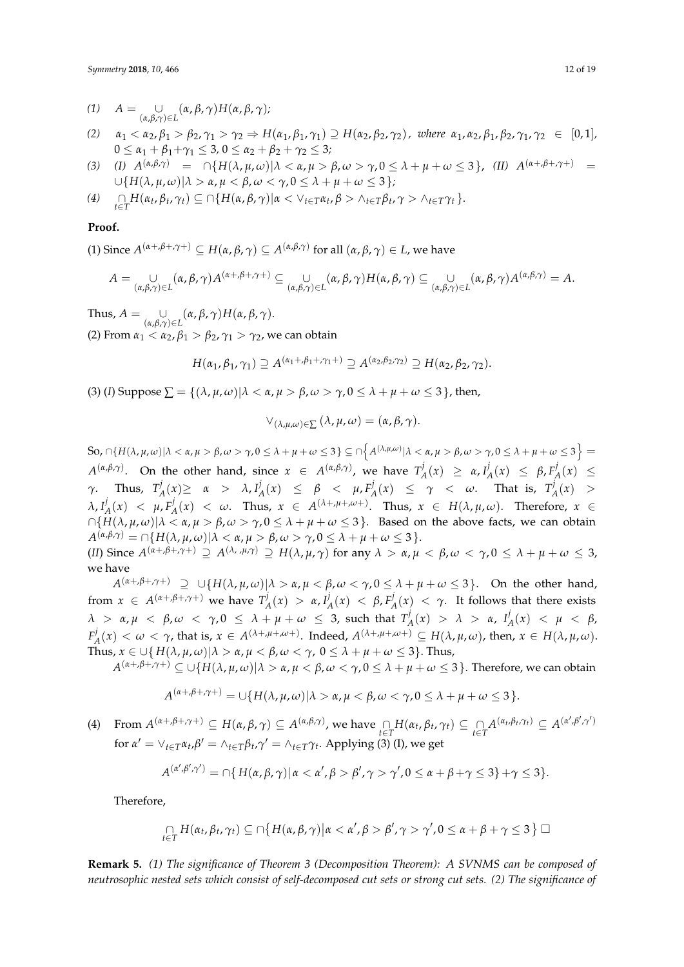\n- (1) 
$$
A = \bigcup_{(\alpha,\beta,\gamma)\in L} (\alpha,\beta,\gamma)H(\alpha,\beta,\gamma);
$$
\n- (2)  $\alpha_1 < \alpha_2, \beta_1 > \beta_2, \gamma_1 > \gamma_2 \Rightarrow H(\alpha_1,\beta_1,\gamma_1) \supseteq H(\alpha_2,\beta_2,\gamma_2),$  where  $\alpha_1, \alpha_2, \beta_1, \beta_2, \gamma_1, \gamma_2 \in [0,1], 0 \leq \alpha_1 + \beta_1 + \gamma_1 \leq 3, 0 \leq \alpha_2 + \beta_2 + \gamma_2 \leq 3;$
\n

(3) (I) 
$$
A^{(\alpha,\beta,\gamma)} = \bigcap \{H(\lambda,\mu,\omega) | \lambda < \alpha,\mu > \beta,\omega > \gamma, 0 \leq \lambda + \mu + \omega \leq 3\},
$$
 (II)  $A^{(\alpha+\beta+\gamma+\gamma)} = \bigcup \{H(\lambda,\mu,\omega) | \lambda > \alpha,\mu < \beta,\omega < \gamma, 0 \leq \lambda + \mu + \omega \leq 3\};$ 

(4)  $\bigcap_{t\in T} H(\alpha_t, \beta_t, \gamma_t) \subseteq \bigcap \{H(\alpha, \beta, \gamma) | \alpha < \vee_{t\in T}\alpha_t, \beta > \wedge_{t\in T}\beta_t, \gamma > \wedge_{t\in T}\gamma_t \}.$ 

### **Proof.**

(1) Since *A* (*α*+,*β*+,*γ*+) ⊆ *H*(*α*, *β*, *γ*) ⊆ *A* (*α*,*β*,*γ*) for all (*α*, *β*, *γ*) ∈ *L*, we have

$$
A=\bigcup_{(\alpha,\beta,\gamma)\in L}(\alpha,\beta,\gamma)A^{(\alpha+\beta+\gamma+\gamma)}\subseteq \bigcup_{(\alpha,\beta,\gamma)\in L}(\alpha,\beta,\gamma)H(\alpha,\beta,\gamma)\subseteq \bigcup_{(\alpha,\beta,\gamma)\in L}(\alpha,\beta,\gamma)A^{(\alpha,\beta,\gamma)}=A.
$$

Thus,  $A = \bigcup_{(\alpha,\beta,\gamma) \in L} (\alpha,\beta,\gamma) H(\alpha,\beta,\gamma).$ 

(2) From  $α_1 < α_2, β_1 > β_2, γ_1 > γ_2$ , we can obtain

$$
H(\alpha_1,\beta_1,\gamma_1)\supseteq A^{(\alpha_1+\beta_1+\gamma_1+)}\supseteq A^{(\alpha_2,\beta_2,\gamma_2)}\supseteq H(\alpha_2,\beta_2,\gamma_2).
$$

(3) (*I*) Suppose  $\Sigma = \{(\lambda, \mu, \omega) | \lambda < \alpha, \mu > \beta, \omega > \gamma, 0 \le \lambda + \mu + \omega \le 3\}$ , then,

$$
\vee_{(\lambda,\mu,\omega)\in\Sigma}(\lambda,\mu,\omega)=(\alpha,\beta,\gamma).
$$

 $\text{So, } \cap \{H(\lambda,\mu,\omega)| \lambda<\alpha,\mu>\beta, \omega>\gamma, 0\leq \lambda+\mu+\omega\leq 3\} \subseteq \cap \left\{A^{(\lambda,\mu,\omega)}|\lambda<\alpha,\mu>\beta, \omega>\gamma, 0\leq \lambda+\mu+\omega\leq 3\right\}=$ *A*<sup>(*α*,*β*,*γ*)</sup>. On the other hand, since  $x \in A^{(\alpha,\beta,\gamma)}$ , we have  $T^j$  $\alpha_A^j(x) \geq \alpha, I^j$  $\beta$ <sub>*A*</sub>(*x*)  $\leq \beta$ , *F*<sup>*j*</sup><sub>*A*</sub>  $\frac{d}{dx}$  $(x) \leq$ *γ*. Thus, *T j*  $A^j_A(x) \geq \alpha > \lambda, I^j_A$  $\frac{f}{A}(x) \leq \beta < \mu, F^j$  $\frac{f_j}{A}(x) \leq \gamma \ < \ \omega$ . That is,  $T^j_A$  $\frac{y}{A}(x) >$ *λ*, *I j*  $\mu_A^j(x) \leq \mu_F^j$  $A^J(A(x) \leq \omega$ . Thus,  $x \in A^{(\lambda + \mu + \mu + \mu +)}$ . Thus,  $x \in H(\lambda, \mu, \omega)$ . Therefore,  $x \in$  $\cap \{H(\lambda, \mu, \omega)|\lambda < \alpha, \mu > \beta, \omega > \gamma, 0 \le \lambda + \mu + \omega \le 3\}$ . Based on the above facts, we can obtain  $A^{(\alpha,\beta,\gamma)} = \cap\{H(\lambda,\mu,\omega)|\lambda<\alpha,\mu>\beta,\omega>\gamma, 0\leq \lambda+\mu+\omega\leq 3\}\text{.}$ 

(II) Since  $A^{(\alpha + \beta + \gamma +)} \supseteq A^{(\lambda, \mu, \gamma)} \supseteq H(\lambda, \mu, \gamma)$  for any  $\lambda > \alpha, \mu < \beta, \omega < \gamma, 0 \leq \lambda + \mu + \omega \leq 3$ , we have

 $A^{(\alpha + \beta + \gamma +)} \supseteq \cup \{H(\lambda, \mu, \omega)| \lambda > \alpha, \mu < \beta, \omega < \gamma, 0 \le \lambda + \mu + \omega \le 3\}.$  On the other hand, from  $x \in A^{(\alpha + \beta + \gamma + \gamma)}$  we have  $T^j$  $\alpha_A^j(x) > \alpha$ ,  $I^j_A$  $\beta$ <sub>*A*</sub>(*x*) < *β*, *F*<sup>*j*</sup><sub>*A*</sub>  $\gamma_A^J(x)$  < γ. It follows that there exists *λ* > *α*, *μ* < *β*, *ω* < γ, 0  $\leq$  *λ* + *μ* + *ω*  $\leq$  3, such that  $T^j$ *A*(*x*) > *λ* > *α*, *I*<sup>*j*</sup></sup> *A*<sub>*A*</sub>(*x*) < *μ* < *β*, *F j*  $\mathcal{A}_A^J(x) < \omega < \gamma$ , that is,  $x \in A^{(\lambda + \mu + \mu + \mu)}$ . Indeed,  $A^{(\lambda + \mu + \mu + \mu)} \subseteq H(\lambda, \mu, \omega)$ , then,  $x \in H(\lambda, \mu, \omega)$ . Thus,  $x \in \bigcup \{ H(\lambda, \mu, \omega) | \lambda > \alpha, \mu < \beta, \omega < \gamma, 0 \le \lambda + \mu + \omega \le 3 \}.$  Thus,

 $A^{(\alpha+\beta+\gamma+)}\subseteq\cup\{H(\lambda,\mu,\omega)|\lambda>\alpha,\mu<\beta,\omega<\gamma, 0\leq\lambda+\mu+\omega\leq 3\} .$  Therefore, we can obtain

$$
A^{(\alpha+\beta+\gamma+)}=\cup\{H(\lambda,\mu,\omega)|\lambda>\alpha,\mu<\beta,\omega<\gamma,0\leq\lambda+\mu+\omega\leq 3\}.
$$

(4) From  $A^{(\alpha+\beta+\gamma+)} \subseteq H(\alpha,\beta,\gamma) \subseteq A^{(\alpha,\beta,\gamma)}$ , we have  $\bigcap_{t \in T} H(\alpha_t,\beta_t,\gamma_t) \subseteq \bigcap_{t \in T} A^{(\alpha_t,\beta_t,\gamma_t)} \subseteq A^{(\alpha',\beta',\gamma')}$ for  $\alpha' = \vee_{t \in T} \alpha_t, \beta' = \wedge_{t \in T} \beta_t, \gamma' = \wedge_{t \in T} \gamma_t$ . Applying (3) (I), we get

$$
A^{(\alpha',\beta',\gamma')} = \bigcap \{ H(\alpha,\beta,\gamma) | \alpha < \alpha', \beta > \beta', \gamma > \gamma', 0 \leq \alpha + \beta + \gamma \leq 3 \} + \gamma \leq 3 \}.
$$

Therefore,

$$
\bigcap_{t\in T} H(\alpha_t, \beta_t, \gamma_t) \subseteq \bigcap \{H(\alpha, \beta, \gamma) \big| \alpha < \alpha', \beta > \beta', \gamma > \gamma', 0 \leq \alpha + \beta + \gamma \leq 3 \,\} \square
$$

**Remark 5.** *(1) The significance of Theorem 3 (Decomposition Theorem): A SVNMS can be composed of neutrosophic nested sets which consist of self-decomposed cut sets or strong cut sets. (2) The significance of*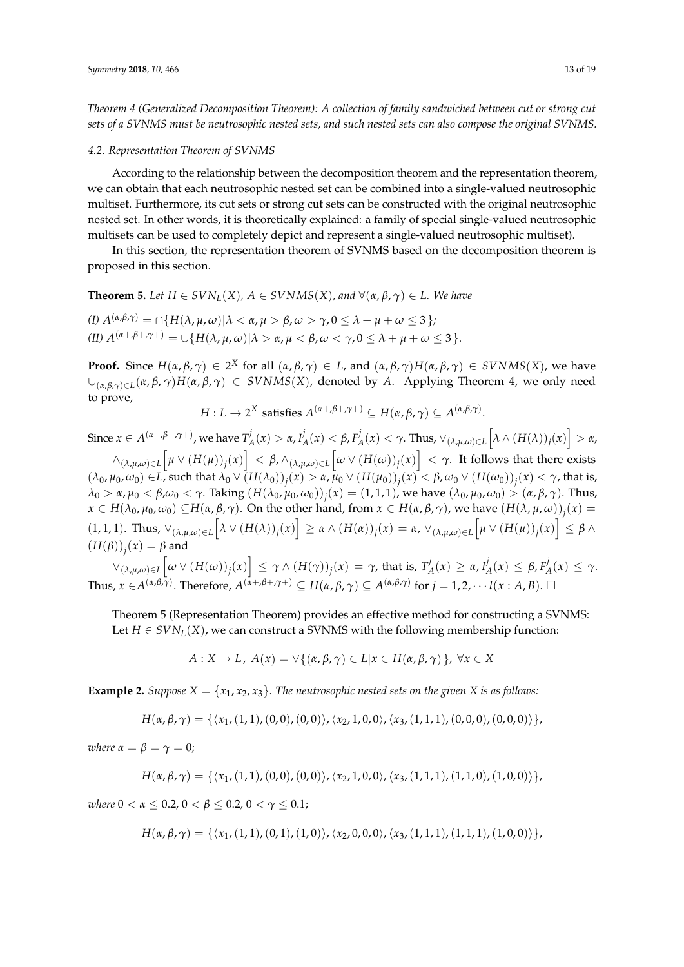*Theorem 4 (Generalized Decomposition Theorem): A collection of family sandwiched between cut or strong cut sets of a SVNMS must be neutrosophic nested sets, and such nested sets can also compose the original SVNMS.*

### *4.2. Representation Theorem of SVNMS*

According to the relationship between the decomposition theorem and the representation theorem, we can obtain that each neutrosophic nested set can be combined into a single-valued neutrosophic multiset. Furthermore, its cut sets or strong cut sets can be constructed with the original neutrosophic nested set. In other words, it is theoretically explained: a family of special single-valued neutrosophic multisets can be used to completely depict and represent a single-valued neutrosophic multiset).

In this section, the representation theorem of SVNMS based on the decomposition theorem is proposed in this section.

**Theorem 5.** Let  $H \in SVN_L(X)$ ,  $A \in SVNMS(X)$ , and  $\forall (\alpha, \beta, \gamma) \in L$ . We have

 $(I) A^{(\alpha,\beta,\gamma)} = \bigcap \{H(\lambda,\mu,\omega) | \lambda < \alpha,\mu > \beta, \omega > \gamma, 0 \le \lambda + \mu + \omega \le 3 \};$  $(H) A^{(\alpha+\beta+\gamma+)} = \bigcup \{H(\lambda, \mu, \omega) | \lambda > \alpha, \mu < \beta, \omega < \gamma, 0 \le \lambda + \mu + \omega \le 3 \}.$ 

**Proof.** Since  $H(\alpha,\beta,\gamma) \in 2^X$  for all  $(\alpha,\beta,\gamma) \in L$ , and  $(\alpha,\beta,\gamma)H(\alpha,\beta,\gamma) \in SVM(S(X))$ , we have ∪(*α*,*β*,*γ*)∈*<sup>L</sup>* (*α*, *β*, *γ*)*H*(*α*, *β*, *γ*) ∈ *SVNMS*(*X*), denoted by *A*. Applying Theorem 4, we only need to prove,

$$
H: L \to 2^X \text{ satisfies } A^{(\alpha+\beta+\gamma+\gamma)} \subseteq H(\alpha,\beta,\gamma) \subseteq A^{(\alpha,\beta,\gamma)}.
$$

Since  $x \in A^{(\alpha+\beta+\gamma+)}$ , we have  $T^j$  $\alpha_A^j(x) > \alpha, I^j$  $\beta_A^j(x) < \beta, F^j_A$  $\frac{d^j A}{A}(x) < \gamma.$  Thus,  $\vee_{(\lambda,\mu,\omega) \in L} \Big[ \lambda \wedge (H(\lambda))_j(x) \Big] > \alpha,$  $\left|\wedge_{(\lambda,\mu,\omega)\in L}\Big[\mu\vee (H(\mu))_{j}(x)\Big]<\beta, \wedge_{(\lambda,\mu,\omega)\in L}\Big[\omega\vee (H(\omega))_{j}(x)\Big]<\gamma.$  It follows that there exists  $(\lambda_0,\mu_0,\omega_0)\in$  L, such that  $\lambda_0\vee (H(\lambda_0))_j(x)>$   $\alpha,\mu_0\vee (H(\mu_0))_j(x)<$   $\beta,\omega_0\vee (H(\omega_0))_j(x)<$   $\gamma$ , that is,  $\lambda_0>\alpha$ ,  $\mu_0<\beta$ , $\omega_0<\gamma.$  Taking  $(H(\lambda_0,\mu_0,\omega_0))_j(x)=(1,1,1)$ , we have  $(\lambda_0,\mu_0,\omega_0)>(\alpha,\beta,\gamma).$  Thus,  $x\in H(\lambda_0,\mu_0,\omega_0)\subseteq$   $H(\alpha,\beta,\gamma).$  On the other hand, from  $x\in H(\alpha,\beta,\gamma)$ , we have  $(H(\lambda,\mu,\omega))_j(x)=$  $(1,1,1).$  Thus,  $\forall_{(\lambda,\mu,\omega)\in L} \left[\lambda \vee (H(\lambda))_j(x)\right] \geq \alpha \wedge (H(\alpha))_j(x) = \alpha, \forall_{(\lambda,\mu,\omega)\in L} \left[\mu \vee (H(\mu))_j(x)\right] \leq \beta \wedge$  $(H(\beta))_j(x) = \beta$  and

 $\bigtriangledown_{(\lambda,\mu,\omega)\in L}\Big[\omega\vee (H(\omega))_{j}(x)\Big]\leq \gamma\wedge (H(\gamma))_{j}(x)=\gamma$ , that is,  $T_{\lambda}^{j}$  $\alpha_A^j(x) \geq \alpha, I^j$  $\beta_A(x) \leq \beta, F^j_A$ *A* (*x*) ≤ *γ*. Thus,  $x \in A^{(\alpha,\beta,\gamma)}$ . Therefore,  $A^{(\alpha+,\beta+,\gamma+)} \subseteq H(\alpha,\beta,\gamma) \subseteq A^{(\alpha,\beta,\gamma)}$  for  $j = 1,2,\cdots l$   $(x : A, B)$ .  $\Box$ 

Theorem 5 (Representation Theorem) provides an effective method for constructing a SVNMS: Let  $H \in SVN_L(X)$ , we can construct a SVNMS with the following membership function:

$$
A: X \to L, A(x) = \vee \{(\alpha, \beta, \gamma) \in L | x \in H(\alpha, \beta, \gamma)\}, \forall x \in X
$$

**Example 2.** *Suppose*  $X = \{x_1, x_2, x_3\}$ *. The neutrosophic nested sets on the given* X is as follows:

$$
H(\alpha,\beta,\gamma)=\{\langle x_1,(1,1),(0,0),(0,0)\rangle,\langle x_2,1,0,0\rangle,\langle x_3,(1,1,1),(0,0,0),(0,0,0)\rangle\},\
$$

*where*  $\alpha = \beta = \gamma = 0$ ;

$$
H(\alpha,\beta,\gamma)=\{\langle x_1,(1,1),(0,0),(0,0)\rangle,\langle x_2,1,0,0\rangle,\langle x_3,(1,1,1),(1,1,0),(1,0,0)\rangle\},
$$

*where*  $0 < \alpha \leq 0.2$ ,  $0 < \beta \leq 0.2$ ,  $0 < \gamma \leq 0.1$ ;

 $H(\alpha, \beta, \gamma) = {\langle x_1, (1, 1), (0, 1), (1, 0) \rangle, \langle x_2, 0, 0, 0 \rangle, \langle x_3, (1, 1, 1), (1, 1, 1), (1, 0, 0) \rangle},$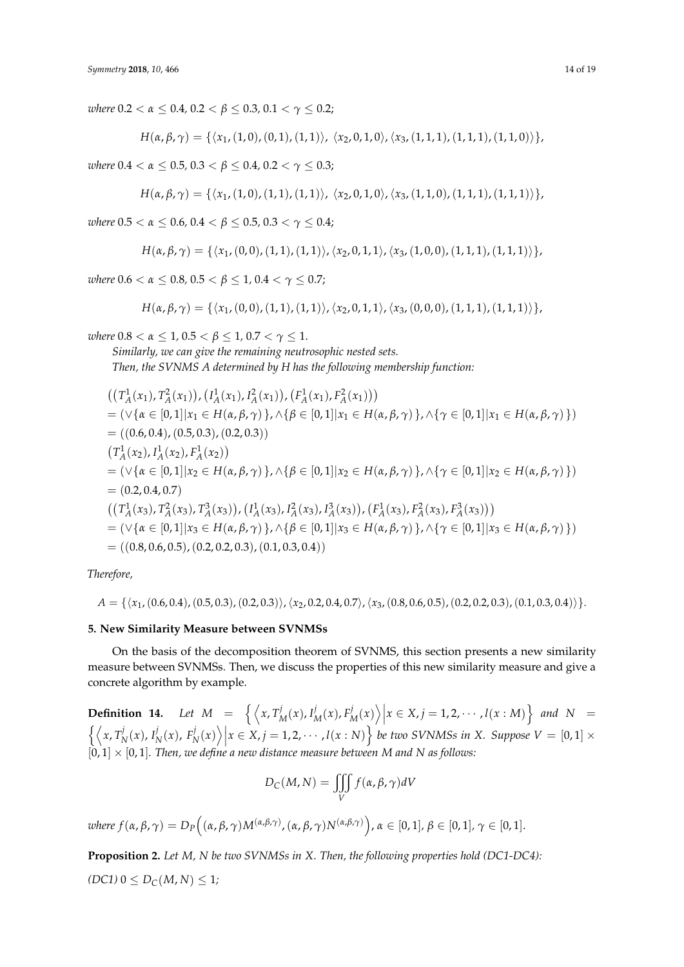*where* 0.2 < *α* ≤ 0.4*,* 0.2 < *β* ≤ 0.3*,* 0.1 < *γ* ≤ 0.2;

$$
H(\alpha, \beta, \gamma) = \{ \langle x_1, (1,0), (0,1), (1,1) \rangle, \langle x_2, 0, 1, 0 \rangle, \langle x_3, (1,1,1), (1,1,1), (1,1,0) \rangle \},
$$

*where* 0.4 < *α* ≤ 0.5*,* 0.3 < *β* ≤ 0.4*,* 0.2 < *γ* ≤ 0.3;

$$
H(\alpha, \beta, \gamma) = \{ \langle x_1, (1,0), (1,1), (1,1) \rangle, \langle x_2, 0, 1, 0 \rangle, \langle x_3, (1,1,0), (1,1,1), (1,1,1) \rangle \},
$$

*where* 0.5 < *α* ≤ 0.6*,* 0.4 < *β* ≤ 0.5*,* 0.3 < *γ* ≤ 0.4;

$$
H(\alpha, \beta, \gamma) = \{ \langle x_1, (0,0), (1,1), (1,1) \rangle, \langle x_2, 0, 1, 1 \rangle, \langle x_3, (1,0,0), (1,1,1), (1,1,1) \rangle \},
$$

*where*  $0.6 < \alpha \leq 0.8$ ,  $0.5 < \beta \leq 1$ ,  $0.4 < \gamma \leq 0.7$ ;

$$
H(\alpha, \beta, \gamma) = \{ \langle x_1, (0,0), (1,1), (1,1) \rangle, \langle x_2, 0, 1, 1 \rangle, \langle x_3, (0,0,0), (1,1,1), (1,1,1) \rangle \},
$$

*where*  $0.8 < \alpha \leq 1$ ,  $0.5 < \beta \leq 1$ ,  $0.7 < \gamma \leq 1$ .

*Similarly, we can give the remaining neutrosophic nested sets. Then, the SVNMS A determined by H has the following membership function:*

$$
((T_A^1(x_1), T_A^2(x_1)), (I_A^1(x_1), I_A^2(x_1)), (F_A^1(x_1), F_A^2(x_1)))
$$
  
=  $(\vee {\alpha \in [0,1]|x_1 \in H(\alpha, \beta, \gamma) }, \wedge {\beta \in [0,1]|x_1 \in H(\alpha, \beta, \gamma) }, \wedge {\gamma \in [0,1]|x_1 \in H(\alpha, \beta, \gamma) }\})$   
=  $((0.6, 0.4), (0.5, 0.3), (0.2, 0.3))$   
 $(T_A^1(x_2), T_A^1(x_2), F_A^1(x_2))$   
=  $(\vee {\alpha \in [0,1]|x_2 \in H(\alpha, \beta, \gamma) }, \wedge {\beta \in [0,1]|x_2 \in H(\alpha, \beta, \gamma) }, \wedge {\gamma \in [0,1]|x_2 \in H(\alpha, \beta, \gamma) }\})$   
=  $(0.2, 0.4, 0.7)$   
 $((T_A^1(x_3), T_A^2(x_3), T_A^3(x_3)), (I_A^1(x_3), I_A^2(x_3), I_A^3(x_3)), (F_A^1(x_3), F_A^2(x_3), F_A^3(x_3)))$   
=  $(\vee {\alpha \in [0,1]|x_3 \in H(\alpha, \beta, \gamma) }, \wedge {\beta \in [0,1]|x_3 \in H(\alpha, \beta, \gamma) }, \wedge {\gamma \in [0,1]|x_3 \in H(\alpha, \beta, \gamma) }\})$   
=  $((0.8, 0.6, 0.5), (0.2, 0.2, 0.3), (0.1, 0.3, 0.4))$ 

*Therefore,*

$$
A = \{ \langle x_1, (0.6, 0.4), (0.5, 0.3), (0.2, 0.3) \rangle, \langle x_2, 0.2, 0.4, 0.7 \rangle, \langle x_3, (0.8, 0.6, 0.5), (0.2, 0.2, 0.3), (0.1, 0.3, 0.4) \rangle \}.
$$

## <span id="page-13-0"></span>**5. New Similarity Measure between SVNMSs**

On the basis of the decomposition theorem of SVNMS, this section presents a new similarity measure between SVNMSs. Then, we discuss the properties of this new similarity measure and give a concrete algorithm by example.

**Definition 14.** Let  $M = \left\{ \left\langle x, T_M^j(x), I_M^j(x), F_M^j(x) \right\rangle \middle| x \in X, j = 1, 2, \cdots, l(x:M) \right\}$  and  $N =$  $\left\{ \left\langle x, T\right\rangle^j \right\}$  $N^j(x)$ , *I*<sup> $j$ </sup>  $N^j(x)$ ,  $F^j_N(x)$  $\langle N_N(x) \rangle | x \in X, j = 1, 2, \cdots, l(x:N) \big\}$  be two SVNMSs in *X*. Suppose  $V = [0, 1] \times I$  $[0, 1] \times [0, 1]$ . Then, we define a new distance measure between M and N as follows:

$$
D_C(M, N) = \iiint_V f(\alpha, \beta, \gamma) dV
$$

where  $f(\alpha,\beta,\gamma)=D_P\Big((\alpha,\beta,\gamma)M^{(\alpha,\beta,\gamma)},(\alpha,\beta,\gamma)N^{(\alpha,\beta,\gamma)}\Big)$  ,  $\alpha\in[0,1]$  ,  $\beta\in[0,1]$  ,  $\gamma\in[0,1].$ 

**Proposition 2.** *Let M, N be two SVNMSs in X*. *Then, the following properties hold (DC1-DC4):*  $(DC1)$   $0 \leq D_C(M, N) \leq 1$ *;*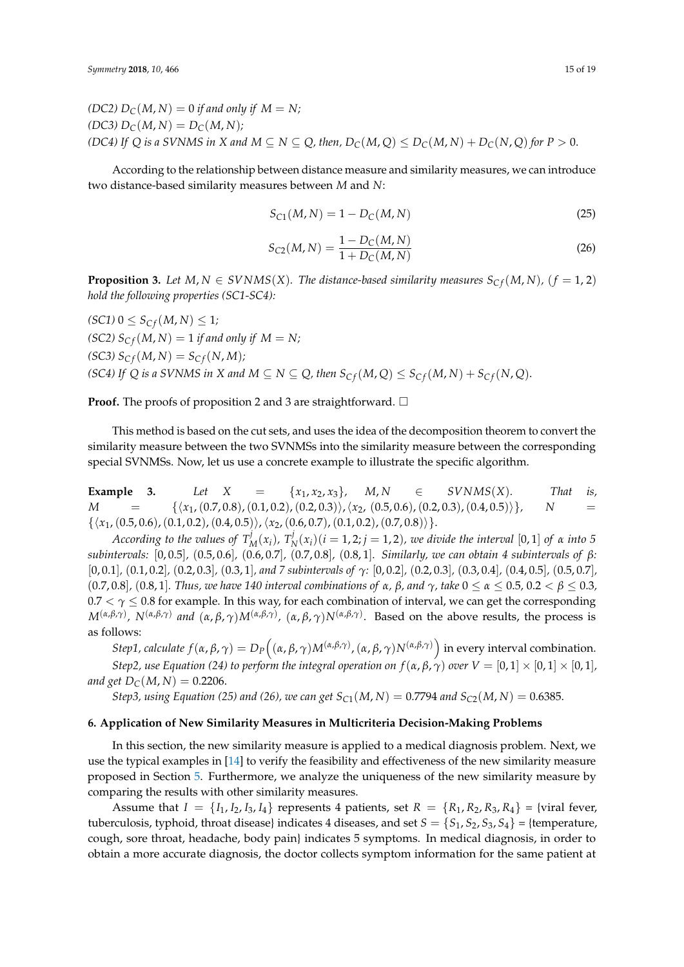*(DC2)*  $D_C(M, N) = 0$  *if and only if*  $M = N$ *;*  $(DC3) D<sub>C</sub>(M, N) = D<sub>C</sub>(M, N);$ *(DC4)* If *Q* is a SVNMS in X and  $M \subseteq N \subseteq Q$ , then,  $D_C(M, Q) \le D_C(M, N) + D_C(N, Q)$  for  $P > 0$ .

According to the relationship between distance measure and similarity measures, we can introduce two distance-based similarity measures between *M* and *N*:

$$
S_{C1}(M,N) = 1 - D_C(M,N)
$$
\n(25)

$$
S_{C2}(M,N) = \frac{1 - D_C(M,N)}{1 + D_C(M,N)}
$$
\n(26)

**Proposition 3.** Let  $M, N \in SVMS(X)$ . The distance-based similarity measures  $S_{C}$   $(M, N)$ ,  $(f = 1, 2)$ *hold the following properties (SC1-SC4):*

 $(SC1)$   $0 \leq S_{Cf}(M, N) \leq 1$ *;*  $(SC2)$   $S_{C}$ <sub>f</sub> $(M, N) = 1$  *if and only if*  $M = N$ ;  $(SC3) S_{Cf}(M, N) = S_{Cf}(N, M);$ *(SC4) If Q is a SVNMS in X and*  $M \subseteq N \subseteq Q$ , then  $S_{C}f(M,Q) \leq S_{C}f(M,N) + S_{C}f(N,Q)$ .

**Proof.** The proofs of proposition 2 and 3 are straightforward.  $\Box$ 

This method is based on the cut sets, and uses the idea of the decomposition theorem to convert the similarity measure between the two SVNMSs into the similarity measure between the corresponding special SVNMSs. Now, let us use a concrete example to illustrate the specific algorithm.

**Example 3.** *Let*  $X = \{x_1, x_2, x_3\}$ ,  $M, N \in \text{SVMMS}(X)$ . *That is, M* = { $\langle x_1,(0.7, 0.8),(0.1, 0.2),(0.2, 0.3)\rangle$ , $\langle x_2,(0.5, 0.6),(0.2, 0.3),(0.4, 0.5)\rangle$ }*, N* =  $\{\langle x_1,(0.5, 0.6), (0.1, 0.2), (0.4, 0.5)\rangle, \langle x_2,(0.6, 0.7), (0.1, 0.2), (0.7, 0.8)\rangle\}.$ 

*According to the values of*  $T_M^j(x_i)$ *,*  $T_N^j$ *N* (*xi*)(*i* = 1, 2; *j* = 1, 2)*, we divide the interval* [0, 1] *of α into 5 subintervals:* [0, 0.5]*,* (0.5, 0.6]*,* (0.6, 0.7]*,* (0.7, 0.8]*,* (0.8, 1]*. Similarly, we can obtain 4 subintervals of β:* [0, 0.1]*,* (0.1, 0.2]*,* (0.2, 0.3]*,* (0.3, 1]*, and 7 subintervals of γ:* [0, 0.2]*,* (0.2, 0.3]*,* (0.3, 0.4]*,* (0.4, 0.5]*,* (0.5, 0.7]*,* (0.7, 0.8]*,* (0.8, 1]*. Thus, we have 140 interval combinations of α, β, and γ, take* 0 ≤ *α* ≤ 0.5*,* 0.2 < *β* ≤ 0.3*,*  $0.7 < \gamma \leq 0.8$  for example. In this way, for each combination of interval, we can get the corresponding  $M^{(\alpha,\beta,\gamma)}$ ,  $N^{(\alpha,\beta,\gamma)}$  and  $(\alpha,\beta,\gamma)M^{(\alpha,\beta,\gamma)}$ ,  $(\alpha,\beta,\gamma)N^{(\alpha,\beta,\gamma)}$ . Based on the above results, the process is as follows:

Step1, calculate  $f(\alpha,\beta,\gamma)=D_P\Big((\alpha,\beta,\gamma)M^{(\alpha,\beta,\gamma)},(\alpha,\beta,\gamma)N^{(\alpha,\beta,\gamma)}\Big)$  in every interval combination. *Step2, use Equation (24) to perform the integral operation on*  $f(\alpha, \beta, \gamma)$  *<i>over*  $V = [0, 1] \times [0, 1] \times [0, 1]$ *, and get D*<sub>*C*</sub>(*M*, *N*) = 0.2206.

*Step3, using Equation (25) and (26), we can get*  $S_{C1}(M, N) = 0.7794$  *and*  $S_{C2}(M, N) = 0.6385$ *.* 

### <span id="page-14-0"></span>**6. Application of New Similarity Measures in Multicriteria Decision-Making Problems**

In this section, the new similarity measure is applied to a medical diagnosis problem. Next, we use the typical examples in [\[14\]](#page-17-6) to verify the feasibility and effectiveness of the new similarity measure proposed in Section [5.](#page-13-0) Furthermore, we analyze the uniqueness of the new similarity measure by comparing the results with other similarity measures.

Assume that  $I = \{I_1, I_2, I_3, I_4\}$  represents 4 patients, set  $R = \{R_1, R_2, R_3, R_4\} = \{v \text{iral fever, } R_2, R_4, R_5, R_6, R_7\}$ tuberculosis, typhoid, throat disease} indicates 4 diseases, and set  $S = \{S_1, S_2, S_3, S_4\}$  = {temperature, cough, sore throat, headache, body pain} indicates 5 symptoms. In medical diagnosis, in order to obtain a more accurate diagnosis, the doctor collects symptom information for the same patient at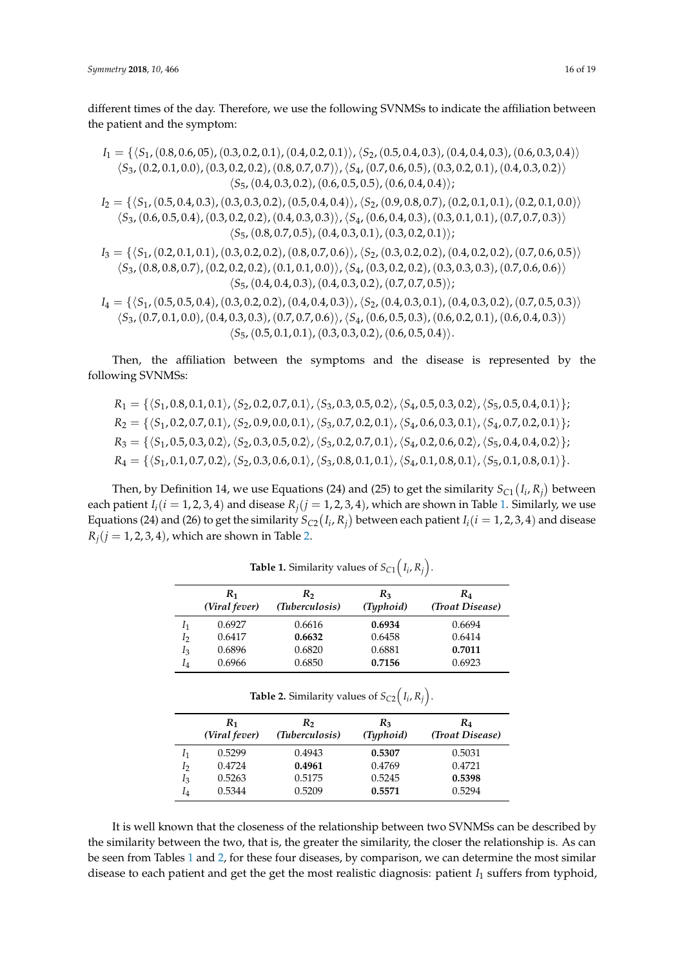different times of the day. Therefore, we use the following SVNMSs to indicate the affiliation between the patient and the symptom:

$$
I_1 = \{\langle S_1, (0.8, 0.6, 05), (0.3, 0.2, 0.1), (0.4, 0.2, 0.1)\rangle, \langle S_2, (0.5, 0.4, 0.3), (0.4, 0.4, 0.3), (0.6, 0.3, 0.4)\rangle
$$
  
\n
$$
\langle S_3, (0.2, 0.1, 0.0), (0.3, 0.2, 0.2), (0.8, 0.7, 0.7)\rangle, \langle S_4, (0.7, 0.6, 0.5), (0.3, 0.2, 0.1), (0.4, 0.3, 0.2)\rangle
$$
  
\n
$$
\langle S_5, (0.4, 0.3, 0.2), (0.6, 0.5, 0.5), (0.6, 0.4, 0.4)\rangle;
$$
  
\n
$$
I_2 = \{\langle S_1, (0.5, 0.4, 0.3), (0.3, 0.3, 0.2), (0.5, 0.4, 0.4)\rangle, \langle S_2, (0.9, 0.8, 0.7), (0.2, 0.1, 0.1), (0.2, 0.1, 0.0)\rangle
$$
  
\n
$$
\langle S_3, (0.6, 0.5, 0.4), (0.3, 0.2, 0.2), (0.4, 0.3, 0.3)\rangle, \langle S_4, (0.6, 0.4, 0.3), (0.3, 0.1, 0.1), (0.7, 0.7, 0.3)\rangle
$$
  
\n
$$
\langle S_5, (0.8, 0.7, 0.5), (0.4, 0.3, 0.1), (0.3, 0.2, 0.1)\rangle;
$$
  
\n
$$
I_3 = \{\langle S_1, (0.2, 0.1, 0.1), (0.3, 0.2, 0.2), (0.8, 0.7, 0.6)\rangle, \langle S_2, (0.3, 0.2, 0.2), (0.4, 0.2, 0.2), (0.7, 0.6, 0.5)\rangle
$$
  
\n
$$
\langle S_5, (0.4, 0.4, 0.3), (0.4, 0.3, 0.2), (
$$

Then, the affiliation between the symptoms and the disease is represented by the following SVNMSs:

 $\langle S_5, (0.5, 0.1, 0.1), (0.3, 0.3, 0.2), (0.6, 0.5, 0.4) \rangle.$ 

|  |  | $R_1 = {\langle \langle S_1, 0.8, 0.1, 0.1 \rangle, \langle S_2, 0.2, 0.7, 0.1 \rangle, \langle S_3, 0.3, 0.5, 0.2 \rangle, \langle S_4, 0.5, 0.3, 0.2 \rangle, \langle S_5, 0.5, 0.4, 0.1 \rangle};$ |  |  |
|--|--|-------------------------------------------------------------------------------------------------------------------------------------------------------------------------------------------------------|--|--|
|  |  | $R_2 = \{ \langle S_1, 0.2, 0.7, 0.1 \rangle, \langle S_2, 0.9, 0.0, 0.1 \rangle, \langle S_3, 0.7, 0.2, 0.1 \rangle, \langle S_4, 0.6, 0.3, 0.1 \rangle, \langle S_4, 0.7, 0.2, 0.1 \rangle \};$     |  |  |
|  |  | $R_3 = \{ \langle S_1, 0.5, 0.3, 0.2 \rangle, \langle S_2, 0.3, 0.5, 0.2 \rangle, \langle S_3, 0.2, 0.7, 0.1 \rangle, \langle S_4, 0.2, 0.6, 0.2 \rangle, \langle S_5, 0.4, 0.4, 0.2 \rangle \};$     |  |  |
|  |  | $R_4 = {\langle \langle 5_1, 0.1, 0.7, 0.2 \rangle, \langle 5_2, 0.3, 0.6, 0.1 \rangle, \langle 5_3, 0.8, 0.1, 0.1 \rangle, \langle 5_4, 0.1, 0.8, 0.1 \rangle, \langle 5_5, 0.1, 0.8, 0.1 \rangle}.$ |  |  |

<span id="page-15-0"></span>Then, by Definition 14, we use Equations (24) and (25) to get the similarity  $S_{C1}(I_i, R_j)$  between each patient  $I_i(i = 1, 2, 3, 4)$  and disease  $R_i(i = 1, 2, 3, 4)$ , which are shown in Table [1.](#page-15-0) Similarly, we use Equations (24) and (26) to get the similarity  $S_{C2}(I_i, R_j)$  between each patient  $I_i(i = 1, 2, 3, 4)$  and disease  $R$ <sup>*j*</sup>( $j = 1, 2, 3, 4$ ), which are shown in Table [2.](#page-15-1)

|    | $R_1$<br>(Viral fever) | R,<br>(Tuberculosis) | $R_{3}$<br>(Typhoid) | $R_4$<br>(Troat Disease) |
|----|------------------------|----------------------|----------------------|--------------------------|
| ı1 | 0.6927                 | 0.6616               | 0.6934               | 0.6694                   |
| l2 | 0.6417                 | 0.6632               | 0.6458               | 0.6414                   |
| 13 | 0.6896                 | 0.6820               | 0.6881               | 0.7011                   |
| 14 | 0.6966                 | 0.6850               | 0.7156               | 0.6923                   |

**Table 1.** Similarity values of  $S_{C1}(I_i, R_j)$ .

**Table 2.** Similarity values of  $S_{C2}(I_i, R_j)$ .

<span id="page-15-1"></span>

|    | $R_1$<br>(Viral fever) | R <sub>2</sub><br>(Tuberculosis) | $R_3$<br>(Typhoid) | $R_4$<br>(Troat Disease) |
|----|------------------------|----------------------------------|--------------------|--------------------------|
| 11 | 0.5299                 | 0.4943                           | 0.5307             | 0.5031                   |
| l2 | 0.4724                 | 0.4961                           | 0.4769             | 0.4721                   |
| 13 | 0.5263                 | 0.5175                           | 0.5245             | 0.5398                   |
| 14 | 0.5344                 | 0.5209                           | 0.5571             | 0.5294                   |

It is well known that the closeness of the relationship between two SVNMSs can be described by the similarity between the two, that is, the greater the similarity, the closer the relationship is. As can be seen from Tables [1](#page-15-0) and [2,](#page-15-1) for these four diseases, by comparison, we can determine the most similar disease to each patient and get the get the most realistic diagnosis: patient *I*<sup>1</sup> suffers from typhoid,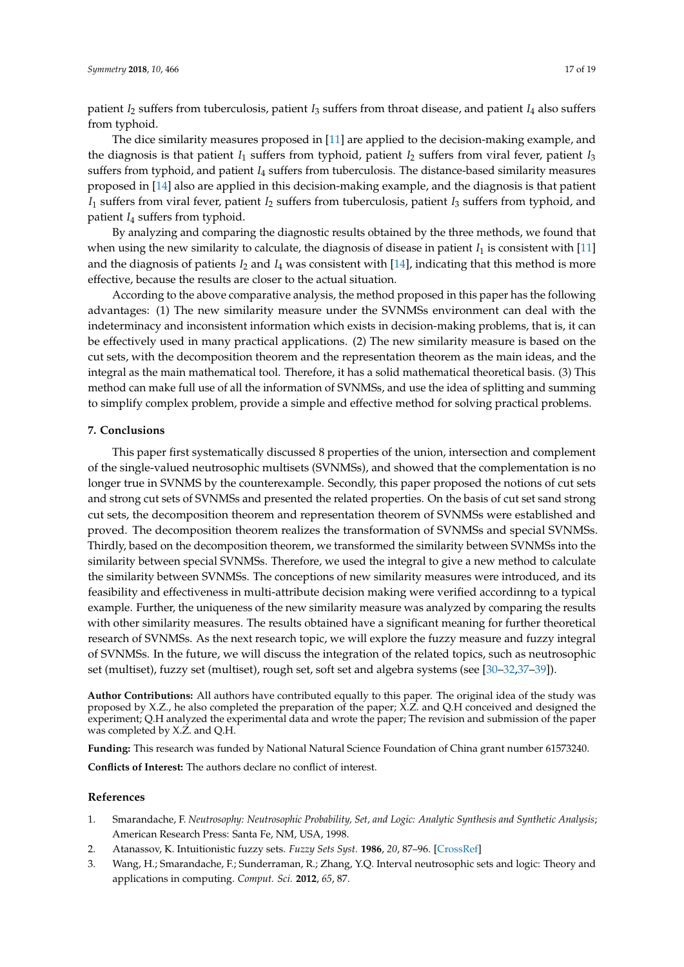patient *I*<sup>2</sup> suffers from tuberculosis, patient *I*<sup>3</sup> suffers from throat disease, and patient *I*<sup>4</sup> also suffers from typhoid.

The dice similarity measures proposed in [\[11\]](#page-17-3) are applied to the decision-making example, and the diagnosis is that patient  $I_1$  suffers from typhoid, patient  $I_2$  suffers from viral fever, patient  $I_3$ suffers from typhoid, and patient *I*<sup>4</sup> suffers from tuberculosis. The distance-based similarity measures proposed in [\[14\]](#page-17-6) also are applied in this decision-making example, and the diagnosis is that patient *I*<sup>1</sup> suffers from viral fever, patient *I*<sup>2</sup> suffers from tuberculosis, patient *I*<sup>3</sup> suffers from typhoid, and patient *I*<sup>4</sup> suffers from typhoid.

By analyzing and comparing the diagnostic results obtained by the three methods, we found that when using the new similarity to calculate, the diagnosis of disease in patient  $I_1$  is consistent with  $[11]$ and the diagnosis of patients *I*<sup>2</sup> and *I*<sup>4</sup> was consistent with [\[14\]](#page-17-6), indicating that this method is more effective, because the results are closer to the actual situation.

According to the above comparative analysis, the method proposed in this paper has the following advantages: (1) The new similarity measure under the SVNMSs environment can deal with the indeterminacy and inconsistent information which exists in decision-making problems, that is, it can be effectively used in many practical applications. (2) The new similarity measure is based on the cut sets, with the decomposition theorem and the representation theorem as the main ideas, and the integral as the main mathematical tool. Therefore, it has a solid mathematical theoretical basis. (3) This method can make full use of all the information of SVNMSs, and use the idea of splitting and summing to simplify complex problem, provide a simple and effective method for solving practical problems.

#### <span id="page-16-3"></span>**7. Conclusions**

This paper first systematically discussed 8 properties of the union, intersection and complement of the single-valued neutrosophic multisets (SVNMSs), and showed that the complementation is no longer true in SVNMS by the counterexample. Secondly, this paper proposed the notions of cut sets and strong cut sets of SVNMSs and presented the related properties. On the basis of cut set sand strong cut sets, the decomposition theorem and representation theorem of SVNMSs were established and proved. The decomposition theorem realizes the transformation of SVNMSs and special SVNMSs. Thirdly, based on the decomposition theorem, we transformed the similarity between SVNMSs into the similarity between special SVNMSs. Therefore, we used the integral to give a new method to calculate the similarity between SVNMSs. The conceptions of new similarity measures were introduced, and its feasibility and effectiveness in multi-attribute decision making were verified accordinng to a typical example. Further, the uniqueness of the new similarity measure was analyzed by comparing the results with other similarity measures. The results obtained have a significant meaning for further theoretical research of SVNMSs. As the next research topic, we will explore the fuzzy measure and fuzzy integral of SVNMSs. In the future, we will discuss the integration of the related topics, such as neutrosophic set (multiset), fuzzy set (multiset), rough set, soft set and algebra systems (see [\[30](#page-17-12)[–32,](#page-18-0)[37–](#page-18-3)[39\]](#page-18-4)).

**Author Contributions:** All authors have contributed equally to this paper. The original idea of the study was proposed by X.Z., he also completed the preparation of the paper; X.Z. and Q.H conceived and designed the experiment; Q.H analyzed the experimental data and wrote the paper; The revision and submission of the paper was completed by X.Z. and Q.H.

**Funding:** This research was funded by National Natural Science Foundation of China grant number 61573240.

**Conflicts of Interest:** The authors declare no conflict of interest.

## **References**

- <span id="page-16-0"></span>1. Smarandache, F. *Neutrosophy: Neutrosophic Probability, Set, and Logic: Analytic Synthesis and Synthetic Analysis*; American Research Press: Santa Fe, NM, USA, 1998.
- <span id="page-16-1"></span>2. Atanassov, K. Intuitionistic fuzzy sets. *Fuzzy Sets Syst.* **1986**, *20*, 87–96. [\[CrossRef\]](http://dx.doi.org/10.1016/S0165-0114(86)80034-3)
- <span id="page-16-2"></span>3. Wang, H.; Smarandache, F.; Sunderraman, R.; Zhang, Y.Q. Interval neutrosophic sets and logic: Theory and applications in computing. *Comput. Sci.* **2012**, *65*, 87.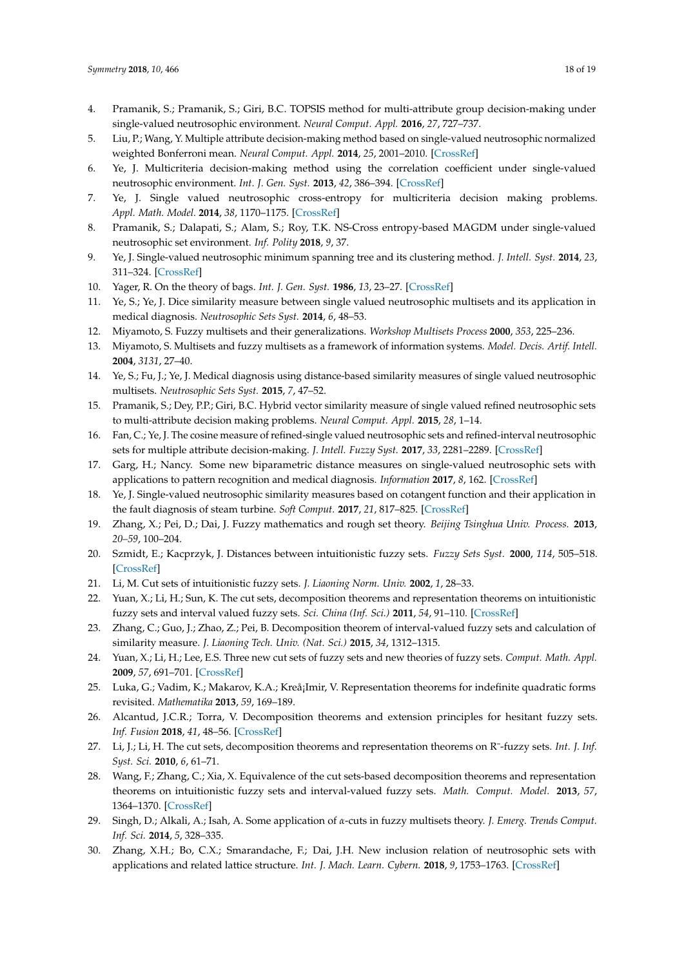- <span id="page-17-0"></span>4. Pramanik, S.; Pramanik, S.; Giri, B.C. TOPSIS method for multi-attribute group decision-making under single-valued neutrosophic environment. *Neural Comput. Appl.* **2016**, *27*, 727–737.
- 5. Liu, P.; Wang, Y. Multiple attribute decision-making method based on single-valued neutrosophic normalized weighted Bonferroni mean. *Neural Comput. Appl.* **2014**, *25*, 2001–2010. [\[CrossRef\]](http://dx.doi.org/10.1007/s00521-014-1688-8)
- 6. Ye, J. Multicriteria decision-making method using the correlation coefficient under single-valued neutrosophic environment. *Int. J. Gen. Syst.* **2013**, *42*, 386–394. [\[CrossRef\]](http://dx.doi.org/10.1080/03081079.2012.761609)
- 7. Ye, J. Single valued neutrosophic cross-entropy for multicriteria decision making problems. *Appl. Math. Model.* **2014**, *38*, 1170–1175. [\[CrossRef\]](http://dx.doi.org/10.1016/j.apm.2013.07.020)
- 8. Pramanik, S.; Dalapati, S.; Alam, S.; Roy, T.K. NS-Cross entropy-based MAGDM under single-valued neutrosophic set environment. *Inf. Polity* **2018**, *9*, 37.
- <span id="page-17-1"></span>9. Ye, J. Single-valued neutrosophic minimum spanning tree and its clustering method. *J. Intell. Syst.* **2014**, *23*, 311–324. [\[CrossRef\]](http://dx.doi.org/10.1515/jisys-2013-0075)
- <span id="page-17-2"></span>10. Yager, R. On the theory of bags. *Int. J. Gen. Syst.* **1986**, *13*, 23–27. [\[CrossRef\]](http://dx.doi.org/10.1080/03081078608934952)
- <span id="page-17-3"></span>11. Ye, S.; Ye, J. Dice similarity measure between single valued neutrosophic multisets and its application in medical diagnosis. *Neutrosophic Sets Syst.* **2014**, *6*, 48–53.
- <span id="page-17-4"></span>12. Miyamoto, S. Fuzzy multisets and their generalizations. *Workshop Multisets Process* **2000**, *353*, 225–236.
- <span id="page-17-5"></span>13. Miyamoto, S. Multisets and fuzzy multisets as a framework of information systems. *Model. Decis. Artif. Intell.* **2004**, *3131*, 27–40.
- <span id="page-17-6"></span>14. Ye, S.; Fu, J.; Ye, J. Medical diagnosis using distance-based similarity measures of single valued neutrosophic multisets. *Neutrosophic Sets Syst.* **2015**, *7*, 47–52.
- 15. Pramanik, S.; Dey, P.P.; Giri, B.C. Hybrid vector similarity measure of single valued refined neutrosophic sets to multi-attribute decision making problems. *Neural Comput. Appl.* **2015**, *28*, 1–14.
- <span id="page-17-13"></span>16. Fan, C.; Ye, J. The cosine measure of refined-single valued neutrosophic sets and refined-interval neutrosophic sets for multiple attribute decision-making. *J. Intell. Fuzzy Syst.* **2017**, *33*, 2281–2289. [\[CrossRef\]](http://dx.doi.org/10.3233/JIFS-17270)
- 17. Garg, H.; Nancy. Some new biparametric distance measures on single-valued neutrosophic sets with applications to pattern recognition and medical diagnosis. *Information* **2017**, *8*, 162. [\[CrossRef\]](http://dx.doi.org/10.3390/info8040162)
- <span id="page-17-7"></span>18. Ye, J. Single-valued neutrosophic similarity measures based on cotangent function and their application in the fault diagnosis of steam turbine. *Soft Comput.* **2017**, *21*, 817–825. [\[CrossRef\]](http://dx.doi.org/10.1007/s00500-015-1818-y)
- <span id="page-17-8"></span>19. Zhang, X.; Pei, D.; Dai, J. Fuzzy mathematics and rough set theory. *Beijing Tsinghua Univ. Process.* **2013**, *20–59*, 100–204.
- <span id="page-17-9"></span>20. Szmidt, E.; Kacprzyk, J. Distances between intuitionistic fuzzy sets. *Fuzzy Sets Syst.* **2000**, *114*, 505–518. [\[CrossRef\]](http://dx.doi.org/10.1016/S0165-0114(98)00244-9)
- 21. Li, M. Cut sets of intuitionistic fuzzy sets. *J. Liaoning Norm. Univ.* **2002**, *1*, 28–33.
- 22. Yuan, X.; Li, H.; Sun, K. The cut sets, decomposition theorems and representation theorems on intuitionistic fuzzy sets and interval valued fuzzy sets. *Sci. China (Inf. Sci.)* **2011**, *54*, 91–110. [\[CrossRef\]](http://dx.doi.org/10.1007/s11432-010-4078-6)
- 23. Zhang, C.; Guo, J.; Zhao, Z.; Pei, B. Decomposition theorem of interval-valued fuzzy sets and calculation of similarity measure. *J. Liaoning Tech. Univ. (Nat. Sci.)* **2015**, *34*, 1312–1315.
- 24. Yuan, X.; Li, H.; Lee, E.S. Three new cut sets of fuzzy sets and new theories of fuzzy sets. *Comput. Math. Appl.* **2009**, *57*, 691–701. [\[CrossRef\]](http://dx.doi.org/10.1016/j.camwa.2008.05.044)
- 25. Luka, G.; Vadim, K.; Makarov, K.A.; Kreå¡Imir, V. Representation theorems for indefinite quadratic forms revisited. *Mathematika* **2013**, *59*, 169–189.
- 26. Alcantud, J.C.R.; Torra, V. Decomposition theorems and extension principles for hesitant fuzzy sets. *Inf. Fusion* **2018**, *41*, 48–56. [\[CrossRef\]](http://dx.doi.org/10.1016/j.inffus.2017.08.005)
- 27. Li, J.; Li, H. The cut sets, decomposition theorems and representation theorems on R¯-fuzzy sets. *Int. J. Inf. Syst. Sci.* **2010**, *6*, 61–71.
- <span id="page-17-10"></span>28. Wang, F.; Zhang, C.; Xia, X. Equivalence of the cut sets-based decomposition theorems and representation theorems on intuitionistic fuzzy sets and interval-valued fuzzy sets. *Math. Comput. Model.* **2013**, *57*, 1364–1370. [\[CrossRef\]](http://dx.doi.org/10.1016/j.mcm.2012.11.025)
- <span id="page-17-11"></span>29. Singh, D.; Alkali, A.; Isah, A. Some application of *α*-cuts in fuzzy multisets theory. *J. Emerg. Trends Comput. Inf. Sci.* **2014**, *5*, 328–335.
- <span id="page-17-12"></span>30. Zhang, X.H.; Bo, C.X.; Smarandache, F.; Dai, J.H. New inclusion relation of neutrosophic sets with applications and related lattice structure. *Int. J. Mach. Learn. Cybern.* **2018**, *9*, 1753–1763. [\[CrossRef\]](http://dx.doi.org/10.1007/s13042-018-0817-6)